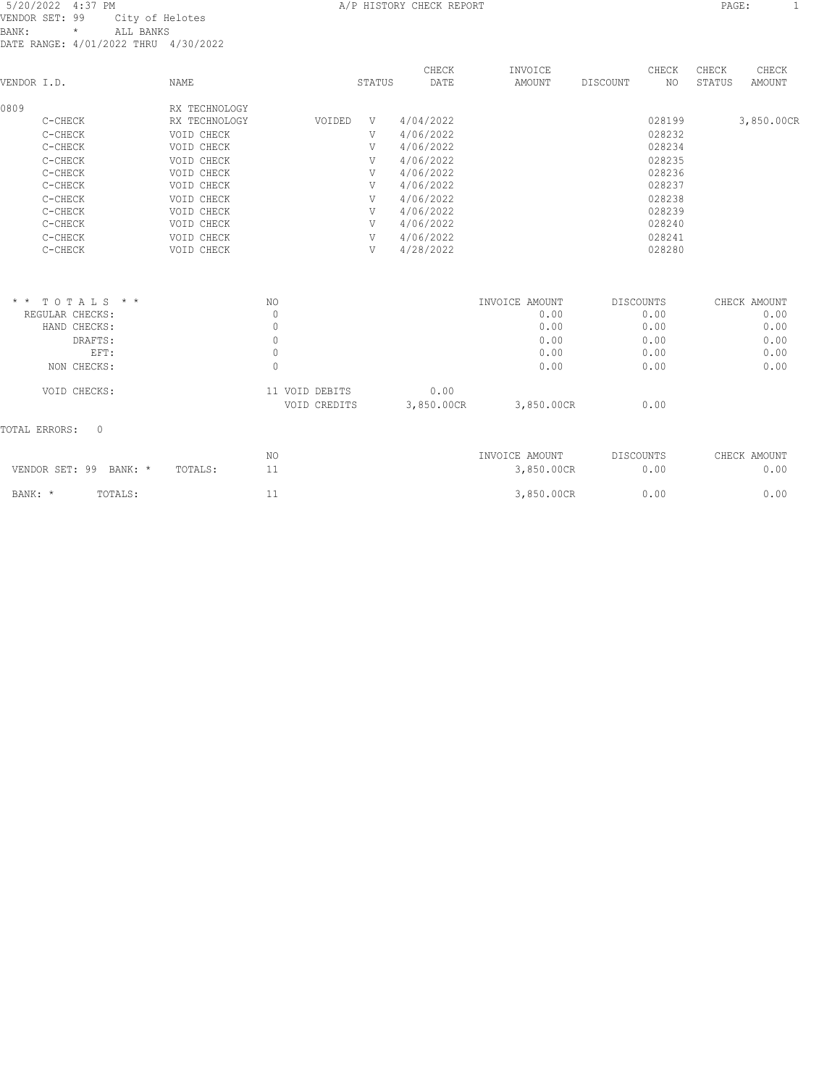| VENDOR I.D. |         | NAME          |        | STATUS | CHECK<br>DATE | INVOICE<br>AMOUNT | DISCOUNT | CHECK<br>NO. | CHECK<br>STATUS | CHECK<br>AMOUNT |
|-------------|---------|---------------|--------|--------|---------------|-------------------|----------|--------------|-----------------|-----------------|
| 0809        |         | RX TECHNOLOGY |        |        |               |                   |          |              |                 |                 |
|             | C-CHECK | RX TECHNOLOGY | VOIDED | V      | 4/04/2022     |                   |          | 028199       |                 | 3,850.00CR      |
|             | C-CHECK | VOID CHECK    |        | V      | 4/06/2022     |                   |          | 028232       |                 |                 |
|             | C-CHECK | VOID CHECK    |        | V      | 4/06/2022     |                   |          | 028234       |                 |                 |
|             | C-CHECK | VOID CHECK    |        | V      | 4/06/2022     |                   |          | 028235       |                 |                 |
|             | C-CHECK | VOID CHECK    |        | V      | 4/06/2022     |                   |          | 028236       |                 |                 |
|             | C-CHECK | VOID CHECK    |        | V      | 4/06/2022     |                   |          | 028237       |                 |                 |
|             | C-CHECK | VOID CHECK    |        | V      | 4/06/2022     |                   |          | 028238       |                 |                 |
|             | C-CHECK | VOID CHECK    |        | V      | 4/06/2022     |                   |          | 028239       |                 |                 |
|             | C-CHECK | VOID CHECK    |        | V      | 4/06/2022     |                   |          | 028240       |                 |                 |
|             | C-CHECK | VOID CHECK    |        | V      | 4/06/2022     |                   |          | 028241       |                 |                 |
|             | C-CHECK | VOID CHECK    |        | V      | 4/28/2022     |                   |          | 028280       |                 |                 |
|             |         |               |        |        |               |                   |          |              |                 |                 |

| $* * TOTALS$<br>$\star$ $\star$      | NO                |            | INVOICE AMOUNT | DISCOUNTS | CHECK AMOUNT |
|--------------------------------------|-------------------|------------|----------------|-----------|--------------|
| REGULAR CHECKS:                      | 0                 |            | 0.00           | 0.00      | 0.00         |
| HAND CHECKS:                         | 0                 |            | 0.00           | 0.00      | 0.00         |
| DRAFTS:                              | 0                 |            | 0.00           | 0.00      | 0.00         |
| EFT:                                 |                   |            | 0.00           | 0.00      | 0.00         |
| NON CHECKS:                          | 0                 |            | 0.00           | 0.00      | 0.00         |
| VOID CHECKS:                         | VOID DEBITS<br>11 | 0.00       |                |           |              |
|                                      | VOID CREDITS      | 3,850.00CR | 3,850.00CR     | 0.00      |              |
| $\Omega$<br>TOTAL ERRORS:            |                   |            |                |           |              |
|                                      | NO.               |            | INVOICE AMOUNT | DISCOUNTS | CHECK AMOUNT |
| VENDOR SET: 99<br>BANK: *<br>TOTALS: | 11                |            | 3,850.00CR     | 0.00      | 0.00         |
| BANK: *<br>TOTALS:                   | 11                |            | 3,850.00CR     | 0.00      | 0.00         |
|                                      |                   |            |                |           |              |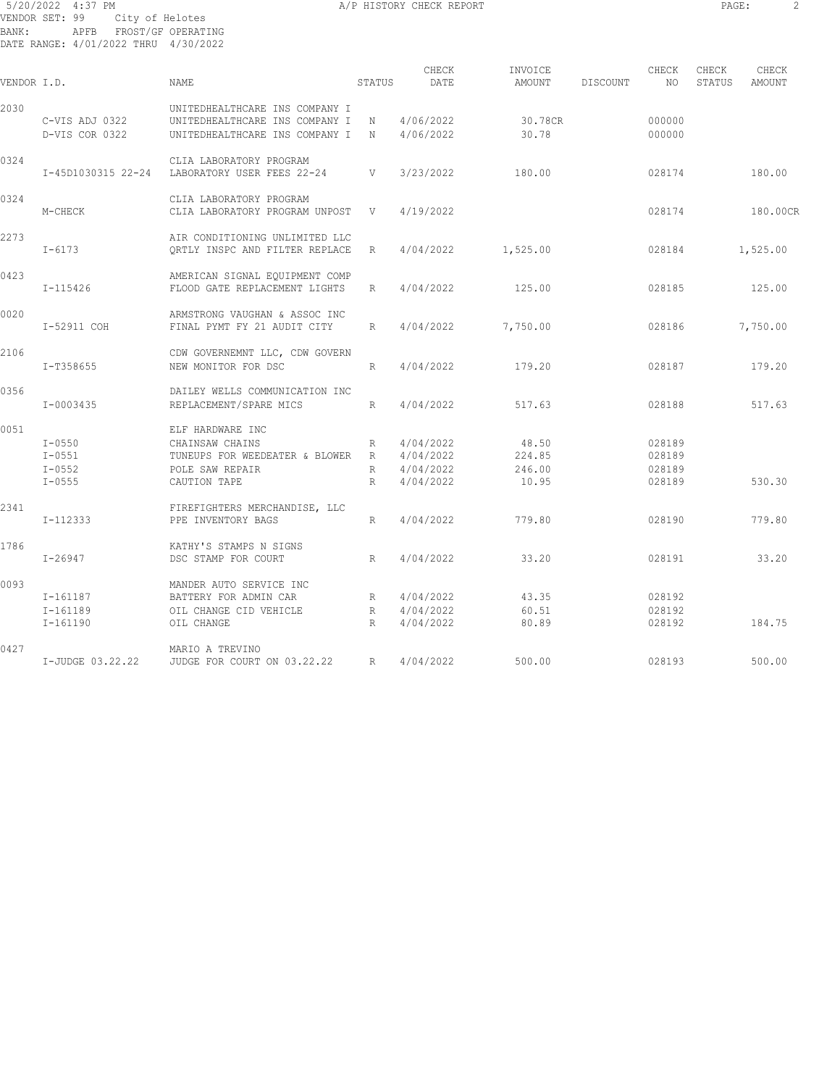# 5/20/2022 4:37 PM **A/P HISTORY CHECK REPORT PAGE:** 2 VENDOR SET: 99 City of Helotes BANK: APFB FROST/GF OPERATING DATE RANGE: 4/01/2022 THRU 4/30/2022

|             |                  |                                               |                 | CHECK       |                   |          | CHECK  | CHECK  | CHECK    |
|-------------|------------------|-----------------------------------------------|-----------------|-------------|-------------------|----------|--------|--------|----------|
| VENDOR I.D. |                  | NAME.                                         | STATUS          | DATE        | INVOICE<br>AMOUNT | DISCOUNT | NO     | STATUS | AMOUNT   |
| 2030        |                  | UNITEDHEALTHCARE INS COMPANY I                |                 |             |                   |          |        |        |          |
|             | C-VIS ADJ 0322   | UNITEDHEALTHCARE INS COMPANY I N 4/06/2022    |                 |             | 30.78CR           |          | 000000 |        |          |
|             | D-VIS COR 0322   | UNITEDHEALTHCARE INS COMPANY I N              |                 | 4/06/2022   | 30.78             |          | 000000 |        |          |
| 0324        |                  | CLIA LABORATORY PROGRAM                       |                 |             |                   |          |        |        |          |
|             |                  | I-45D1030315 22-24 LABORATORY USER FEES 22-24 | V               | 3/23/2022   | 180.00            |          | 028174 |        | 180.00   |
| 0324        |                  | CLIA LABORATORY PROGRAM                       |                 |             |                   |          |        |        |          |
|             | M-CHECK          | CLIA LABORATORY PROGRAM UNPOST                | V               | 4/19/2022   |                   |          | 028174 |        | 180.00CR |
| 2273        |                  | AIR CONDITIONING UNLIMITED LLC                |                 |             |                   |          |        |        |          |
|             | $I - 6173$       | ORTLY INSPC AND FILTER REPLACE                | R               | 4/04/2022   | 1,525.00          |          | 028184 |        | 1,525.00 |
| 0423        |                  | AMERICAN SIGNAL EQUIPMENT COMP                |                 |             |                   |          |        |        |          |
|             | I-115426         | FLOOD GATE REPLACEMENT LIGHTS                 | $R_{\perp}$     | 4/04/2022   | 125.00            |          | 028185 |        | 125.00   |
| 0020        |                  | ARMSTRONG VAUGHAN & ASSOC INC                 |                 |             |                   |          |        |        |          |
|             | I-52911 COH      | FINAL PYMT FY 21 AUDIT CITY                   | R               | 4/04/2022   | 7,750.00          |          | 028186 |        | 7,750.00 |
| 2106        |                  | CDW GOVERNEMNT LLC, CDW GOVERN                |                 |             |                   |          |        |        |          |
|             | I-T358655        | NEW MONITOR FOR DSC                           | R               | 4/04/2022   | 179.20            |          | 028187 |        | 179.20   |
| 0356        |                  | DAILEY WELLS COMMUNICATION INC                |                 |             |                   |          |        |        |          |
|             | I-0003435        | REPLACEMENT/SPARE MICS                        | $R_{\parallel}$ | 4/04/2022   | 517.63            |          | 028188 |        | 517.63   |
| 0051        |                  | ELF HARDWARE INC                              |                 |             |                   |          |        |        |          |
|             | $I - 0550$       | CHAINSAW CHAINS                               |                 | R 4/04/2022 | 48.50             |          | 028189 |        |          |
|             | $I-0551$         | TUNEUPS FOR WEEDEATER & BLOWER R 4/04/2022    |                 |             | 224.85            |          | 028189 |        |          |
|             | $I-0552$         | POLE SAW REPAIR                               |                 | R 4/04/2022 | 246.00            |          | 028189 |        |          |
|             | $I - 0555$       | CAUTION TAPE                                  | $R_{\perp}$     | 4/04/2022   | 10.95             |          | 028189 |        | 530.30   |
| 2341        |                  | FIREFIGHTERS MERCHANDISE, LLC                 |                 |             |                   |          |        |        |          |
|             | $I-112333$       | PPE INVENTORY BAGS                            | R               | 4/04/2022   | 779.80            |          | 028190 |        | 779.80   |
| 1786        |                  | KATHY'S STAMPS N SIGNS                        |                 |             |                   |          |        |        |          |
|             | $I - 26947$      | DSC STAMP FOR COURT                           | R               | 4/04/2022   | 33.20             |          | 028191 |        | 33.20    |
| 0093        |                  | MANDER AUTO SERVICE INC                       |                 |             |                   |          |        |        |          |
|             | I-161187         | BATTERY FOR ADMIN CAR                         |                 | R 4/04/2022 | 43.35             |          | 028192 |        |          |
|             | I-161189         | OIL CHANGE CID VEHICLE                        |                 | R 4/04/2022 | 60.51             |          | 028192 |        |          |
|             | I-161190         | OIL CHANGE                                    | R               | 4/04/2022   | 80.89             |          | 028192 |        | 184.75   |
| 0427        |                  | MARIO A TREVINO                               |                 |             |                   |          |        |        |          |
|             | I-JUDGE 03.22.22 | JUDGE FOR COURT ON 03.22.22                   | R               | 4/04/2022   | 500.00            |          | 028193 |        | 500.00   |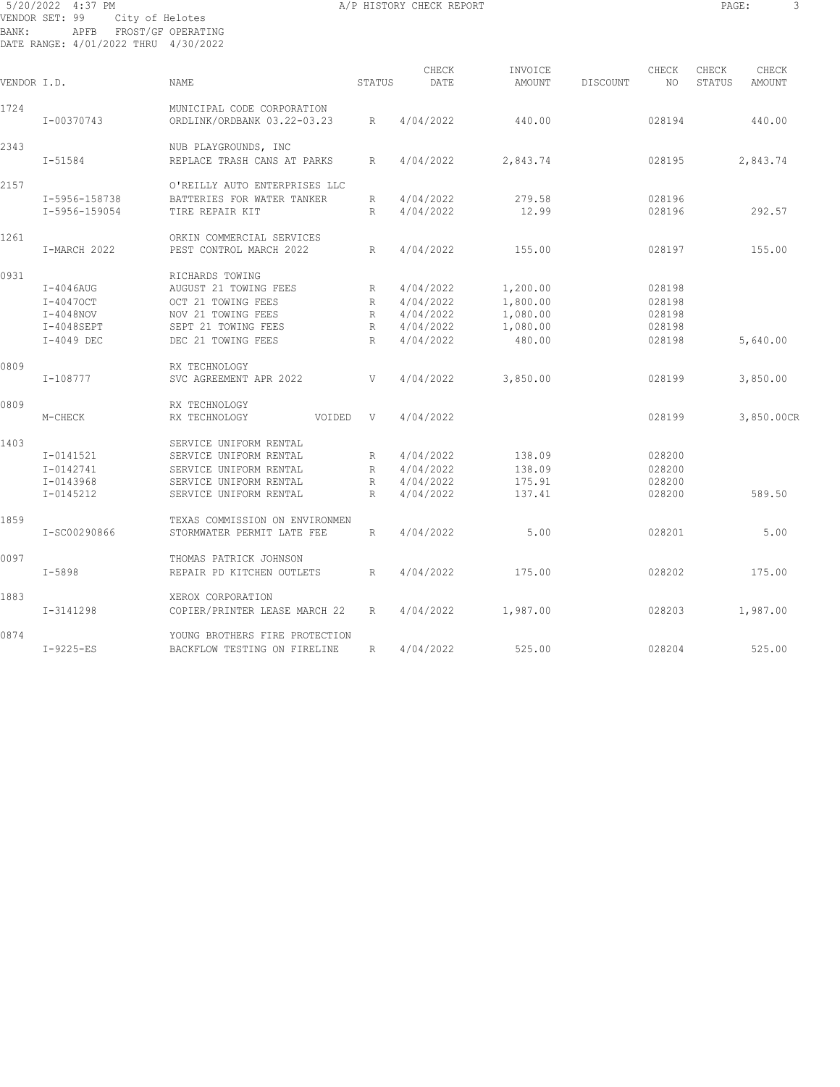# 5/20/2022 4:37 PM **A/P HISTORY CHECK REPORT PAGE:** 3 VENDOR SET: 99 City of Helotes BANK: APFB FROST/GF OPERATING DATE RANGE: 4/01/2022 THRU 4/30/2022

| VENDOR I.D. |               | <b>NAME</b>                                               | STATUS       | CHECK<br>DATE | INVOICE<br>AMOUNT | DISCOUNT | CHECK<br>NO. | CHECK<br>STATUS | CHECK<br>AMOUNT |
|-------------|---------------|-----------------------------------------------------------|--------------|---------------|-------------------|----------|--------------|-----------------|-----------------|
| 1724        | I-00370743    | MUNICIPAL CODE CORPORATION<br>ORDLINK/ORDBANK 03.22-03.23 | $\mathbb{R}$ | 4/04/2022     | 440.00            |          | 028194       |                 | 440.00          |
| 2343        |               | NUB PLAYGROUNDS, INC                                      |              |               |                   |          |              |                 |                 |
|             | $I - 51584$   | REPLACE TRASH CANS AT PARKS                               | $\mathbb{R}$ | 4/04/2022     | 2,843.74          |          | 028195       |                 | 2,843.74        |
| 2157        |               | O'REILLY AUTO ENTERPRISES LLC                             |              |               |                   |          |              |                 |                 |
|             | I-5956-158738 | BATTERIES FOR WATER TANKER                                | R            | 4/04/2022     | 279.58            |          | 028196       |                 |                 |
|             | I-5956-159054 | TIRE REPAIR KIT                                           | R            | 4/04/2022     | 12.99             |          | 028196       |                 | 292.57          |
| 1261        |               | ORKIN COMMERCIAL SERVICES                                 |              |               |                   |          |              |                 |                 |
|             | I-MARCH 2022  | PEST CONTROL MARCH 2022                                   | R            | 4/04/2022     | 155.00            |          | 028197       |                 | 155.00          |
| 0931        |               | RICHARDS TOWING                                           |              |               |                   |          |              |                 |                 |
|             | $I-4046AUG$   | AUGUST 21 TOWING FEES                                     | R            | 4/04/2022     | 1,200.00          |          | 028198       |                 |                 |
|             | I-40470CT     | OCT 21 TOWING FEES                                        | $\mathbb{R}$ | 4/04/2022     | 1,800.00          |          | 028198       |                 |                 |
|             | $I-4048NOV$   | NOV 21 TOWING FEES                                        | R            | 4/04/2022     | 1,080.00          |          | 028198       |                 |                 |
|             | $I-4048$ SEPT | SEPT 21 TOWING FEES                                       | R            | 4/04/2022     | 1,080.00          |          | 028198       |                 |                 |
|             | I-4049 DEC    | DEC 21 TOWING FEES                                        | R            | 4/04/2022     | 480.00            |          | 028198       |                 | 5,640.00        |
| 0809        |               | RX TECHNOLOGY                                             |              |               |                   |          |              |                 |                 |
|             | I-108777      | SVC AGREEMENT APR 2022                                    | V            | 4/04/2022     | 3,850.00          |          | 028199       |                 | 3,850.00        |
| 0809        |               | RX TECHNOLOGY                                             |              |               |                   |          |              |                 |                 |
|             | M-CHECK       | RX TECHNOLOGY<br>VOIDED                                   | V            | 4/04/2022     |                   |          | 028199       |                 | 3,850.00CR      |
| 1403        |               | SERVICE UNIFORM RENTAL                                    |              |               |                   |          |              |                 |                 |
|             | I-0141521     | SERVICE UNIFORM RENTAL                                    | R            | 4/04/2022     | 138.09            |          | 028200       |                 |                 |
|             | I-0142741     | SERVICE UNIFORM RENTAL                                    | R            | 4/04/2022     | 138.09            |          | 028200       |                 |                 |
|             | $I - 0143968$ | SERVICE UNIFORM RENTAL                                    | R            | 4/04/2022     | 175.91            |          | 028200       |                 |                 |
|             | I-0145212     | SERVICE UNIFORM RENTAL                                    | R            | 4/04/2022     | 137.41            |          | 028200       |                 | 589.50          |
| 1859        |               | TEXAS COMMISSION ON ENVIRONMEN                            |              |               |                   |          |              |                 |                 |
|             | I-SC00290866  | STORMWATER PERMIT LATE FEE                                | R            | 4/04/2022     | 5.00              |          | 028201       |                 | 5.00            |
| 0097        |               | THOMAS PATRICK JOHNSON                                    |              |               |                   |          |              |                 |                 |
|             | $T - 5898$    | REPAIR PD KITCHEN OUTLETS                                 | $\mathbb{R}$ | 4/04/2022     | 175.00            |          | 028202       |                 | 175.00          |
| 1883        |               | XEROX CORPORATION                                         |              |               |                   |          |              |                 |                 |
|             | I-3141298     | COPIER/PRINTER LEASE MARCH 22                             | R            | 4/04/2022     | 1,987.00          |          | 028203       |                 | 1,987.00        |
| 0874        |               | YOUNG BROTHERS FIRE PROTECTION                            |              |               |                   |          |              |                 |                 |
|             | $I-9225-ES$   | BACKFLOW TESTING ON FIRELINE                              | R            | 4/04/2022     | 525.00            |          | 028204       |                 | 525.00          |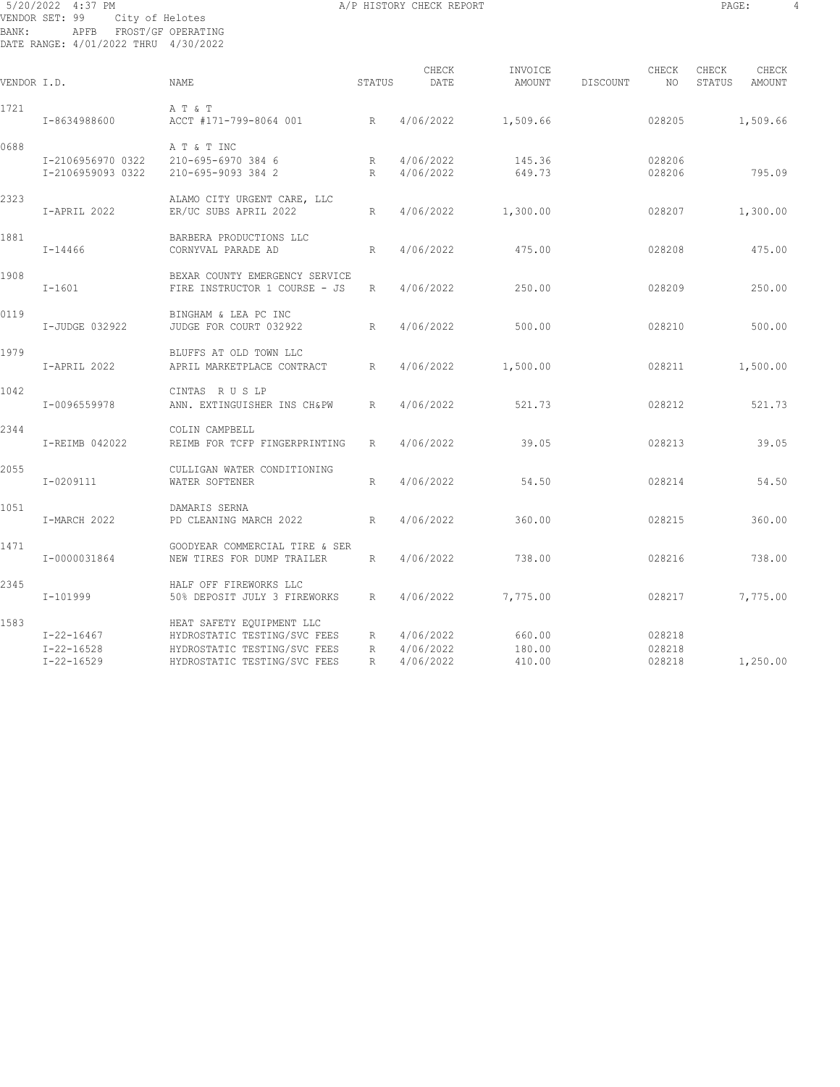# 5/20/2022 4:37 PM **A/P HISTORY CHECK REPORT PAGE:** 4 VENDOR SET: 99 City of Helotes BANK: APFB FROST/GF OPERATING DATE RANGE: 4/01/2022 THRU 4/30/2022

| VENDOR I.D. |                   | <b>NAME</b>                    | STATUS      | CHECK<br>DATE | INVOICE<br>AMOUNT | CHECK<br>DISCOUNT | NO.    | CHECK<br>STATUS | CHECK<br>AMOUNT |
|-------------|-------------------|--------------------------------|-------------|---------------|-------------------|-------------------|--------|-----------------|-----------------|
| 1721        |                   | A T & T                        |             |               |                   |                   |        |                 |                 |
|             | I-8634988600      | ACCT #171-799-8064 001<br>R    |             | 4/06/2022     | 1,509.66          |                   | 028205 |                 | 1,509.66        |
| 0688        |                   | A T & T INC                    |             |               |                   |                   |        |                 |                 |
|             | I-2106956970 0322 | 210-695-6970 384 6             | R           | 4/06/2022     | 145.36            |                   | 028206 |                 |                 |
|             | I-2106959093 0322 | 210-695-9093 384 2             | R           | 4/06/2022     | 649.73            |                   | 028206 |                 | 795.09          |
| 2323        |                   | ALAMO CITY URGENT CARE, LLC    |             |               |                   |                   |        |                 |                 |
|             | I-APRIL 2022      | ER/UC SUBS APRIL 2022          | R           | 4/06/2022     | 1,300.00          |                   | 028207 |                 | 1,300.00        |
| 1881        |                   | BARBERA PRODUCTIONS LLC        |             |               |                   |                   |        |                 |                 |
|             | $I - 14466$       | CORNYVAL PARADE AD             | R           | 4/06/2022     | 475.00            |                   | 028208 |                 | 475.00          |
| 1908        |                   | BEXAR COUNTY EMERGENCY SERVICE |             |               |                   |                   |        |                 |                 |
|             | $I - 1601$        | FIRE INSTRUCTOR 1 COURSE - JS  | R           | 4/06/2022     | 250.00            |                   | 028209 |                 | 250.00          |
| 0119        |                   | BINGHAM & LEA PC INC           |             |               |                   |                   |        |                 |                 |
|             | I-JUDGE 032922    | JUDGE FOR COURT 032922         | R           | 4/06/2022     | 500.00            |                   | 028210 |                 | 500.00          |
| 1979        |                   | BLUFFS AT OLD TOWN LLC         |             |               |                   |                   |        |                 |                 |
|             | I-APRIL 2022      | APRIL MARKETPLACE CONTRACT     | R           | 4/06/2022     | 1,500.00          |                   | 028211 |                 | 1,500.00        |
| 1042        |                   | CINTAS RUSLP                   |             |               |                   |                   |        |                 |                 |
|             | I-0096559978      | ANN. EXTINGUISHER INS CH&PW    | R           | 4/06/2022     | 521.73            |                   | 028212 |                 | 521.73          |
| 2344        |                   | COLIN CAMPBELL                 |             |               |                   |                   |        |                 |                 |
|             | I-REIMB 042022    | REIMB FOR TCFP FINGERPRINTING  | R           | 4/06/2022     | 39.05             |                   | 028213 |                 | 39.05           |
| 2055        |                   | CULLIGAN WATER CONDITIONING    |             |               |                   |                   |        |                 |                 |
|             | I-0209111         | WATER SOFTENER                 | R           | 4/06/2022     | 54.50             |                   | 028214 |                 | 54.50           |
| 1051        |                   | DAMARIS SERNA                  |             |               |                   |                   |        |                 |                 |
|             | I-MARCH 2022      | PD CLEANING MARCH 2022         | R           | 4/06/2022     | 360.00            |                   | 028215 |                 | 360.00          |
| 1471        |                   | GOODYEAR COMMERCIAL TIRE & SER |             |               |                   |                   |        |                 |                 |
|             | I-0000031864      | NEW TIRES FOR DUMP TRAILER     | R           | 4/06/2022     | 738.00            |                   | 028216 |                 | 738.00          |
| 2345        |                   | HALF OFF FIREWORKS LLC         |             |               |                   |                   |        |                 |                 |
|             | I-101999          | 50% DEPOSIT JULY 3 FIREWORKS   | R           | 4/06/2022     | 7,775.00          |                   | 028217 |                 | 7,775.00        |
| 1583        |                   | HEAT SAFETY EQUIPMENT LLC      |             |               |                   |                   |        |                 |                 |
|             | $I - 22 - 16467$  | HYDROSTATIC TESTING/SVC FEES   | $R_{\perp}$ | 4/06/2022     | 660.00            |                   | 028218 |                 |                 |
|             | $I - 22 - 16528$  | HYDROSTATIC TESTING/SVC FEES   | R           | 4/06/2022     | 180.00            |                   | 028218 |                 |                 |
|             | $I - 22 - 16529$  | HYDROSTATIC TESTING/SVC FEES   | R           | 4/06/2022     | 410.00            |                   | 028218 |                 | 1,250.00        |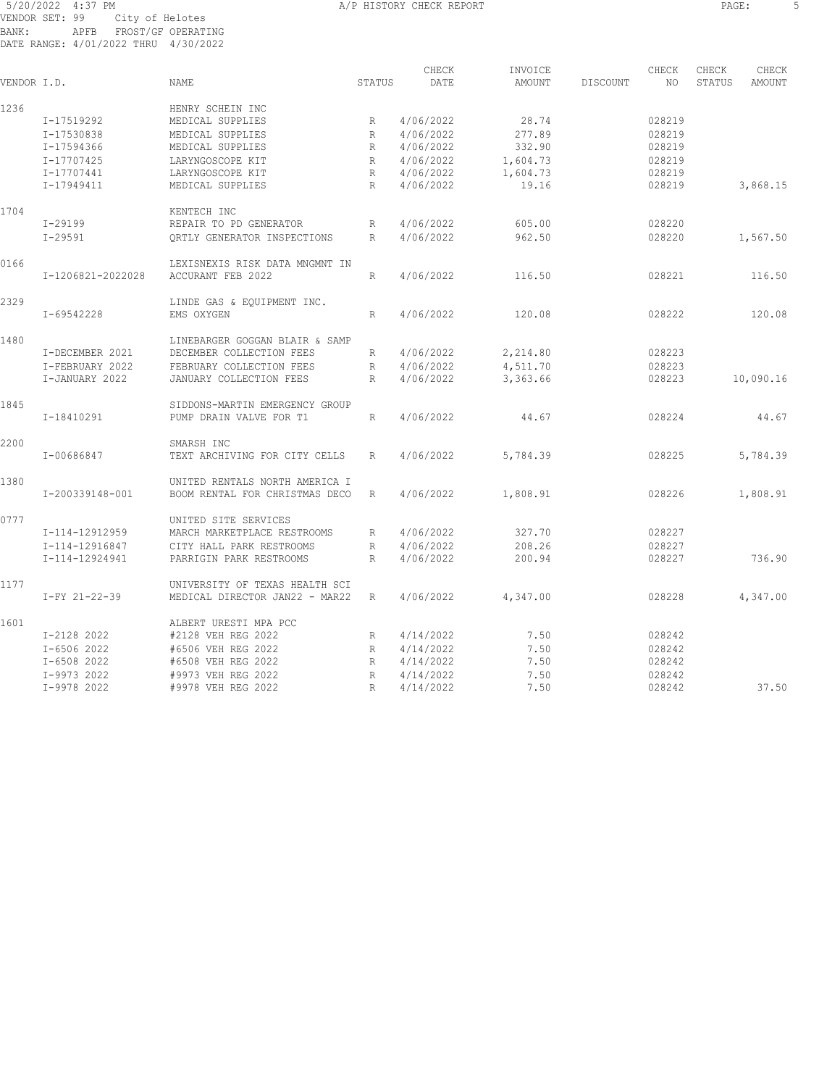# 5/20/2022 4:37 PM **A/P HISTORY CHECK REPORT S** VENDOR SET: 99 City of Helotes BANK: APFB FROST/GF OPERATING DATE RANGE: 4/01/2022 THRU 4/30/2022

| VENDOR I.D. |                   | <b>NAME</b>                    | <b>STATUS</b> | CHECK<br>DATE | INVOICE<br>AMOUNT | DISCOUNT | CHECK<br>NO. | CHECK<br>STATUS | CHECK<br>AMOUNT |
|-------------|-------------------|--------------------------------|---------------|---------------|-------------------|----------|--------------|-----------------|-----------------|
| 1236        |                   | HENRY SCHEIN INC               |               |               |                   |          |              |                 |                 |
|             | I-17519292        | MEDICAL SUPPLIES               | R             | 4/06/2022     | 28.74             |          | 028219       |                 |                 |
|             | I-17530838        | MEDICAL SUPPLIES               | R             | 4/06/2022     | 277.89            |          | 028219       |                 |                 |
|             | I-17594366        | MEDICAL SUPPLIES               | R             | 4/06/2022     | 332.90            |          | 028219       |                 |                 |
|             | I-17707425        | LARYNGOSCOPE KIT               | R             | 4/06/2022     | 1,604.73          |          | 028219       |                 |                 |
|             | I-17707441        | LARYNGOSCOPE KIT               | $\mathbb R$   | 4/06/2022     | 1,604.73          |          | 028219       |                 |                 |
|             | I-17949411        | MEDICAL SUPPLIES               | R             | 4/06/2022     | 19.16             |          | 028219       |                 | 3,868.15        |
| 1704        |                   | KENTECH INC                    |               |               |                   |          |              |                 |                 |
|             | I-29199           | REPAIR TO PD GENERATOR         | R             | 4/06/2022     | 605.00            |          | 028220       |                 |                 |
|             | $I - 29591$       | ORTLY GENERATOR INSPECTIONS    | R             | 4/06/2022     | 962.50            |          | 028220       |                 | 1,567.50        |
| 0166        |                   | LEXISNEXIS RISK DATA MNGMNT IN |               |               |                   |          |              |                 |                 |
|             | I-1206821-2022028 | ACCURANT FEB 2022              | R             | 4/06/2022     | 116.50            |          | 028221       |                 | 116.50          |
| 2329        |                   | LINDE GAS & EQUIPMENT INC.     |               |               |                   |          |              |                 |                 |
|             | I-69542228        | EMS OXYGEN                     | R             | 4/06/2022     | 120.08            |          | 028222       |                 | 120.08          |
| 1480        |                   | LINEBARGER GOGGAN BLAIR & SAMP |               |               |                   |          |              |                 |                 |
|             | I-DECEMBER 2021   | DECEMBER COLLECTION FEES       | R             | 4/06/2022     | 2,214.80          |          | 028223       |                 |                 |
|             | I-FEBRUARY 2022   | FEBRUARY COLLECTION FEES       | $\mathbb R$   | 4/06/2022     | 4,511.70          |          | 028223       |                 |                 |
|             | I-JANUARY 2022    | JANUARY COLLECTION FEES        | R             | 4/06/2022     | 3,363.66          |          | 028223       |                 | 10,090.16       |
| 1845        |                   | SIDDONS-MARTIN EMERGENCY GROUP |               |               |                   |          |              |                 |                 |
|             | I-18410291        | PUMP DRAIN VALVE FOR T1        | R             | 4/06/2022     | 44.67             |          | 028224       |                 | 44.67           |
| 2200        |                   | SMARSH INC                     |               |               |                   |          |              |                 |                 |
|             | I-00686847        | TEXT ARCHIVING FOR CITY CELLS  | R             | 4/06/2022     | 5,784.39          |          | 028225       |                 | 5,784.39        |
| 1380        |                   | UNITED RENTALS NORTH AMERICA I |               |               |                   |          |              |                 |                 |
|             | I-200339148-001   | BOOM RENTAL FOR CHRISTMAS DECO | R             | 4/06/2022     | 1,808.91          |          | 028226       |                 | 1,808.91        |
| 0777        |                   | UNITED SITE SERVICES           |               |               |                   |          |              |                 |                 |
|             | I-114-12912959    | MARCH MARKETPLACE RESTROOMS    | R             | 4/06/2022     | 327.70            |          | 028227       |                 |                 |
|             | I-114-12916847    | CITY HALL PARK RESTROOMS       | R             | 4/06/2022     | 208.26            |          | 028227       |                 |                 |
|             | I-114-12924941    | PARRIGIN PARK RESTROOMS        | R             | 4/06/2022     | 200.94            |          | 028227       |                 | 736.90          |
| 1177        |                   | UNIVERSITY OF TEXAS HEALTH SCI |               |               |                   |          |              |                 |                 |
|             | I-FY 21-22-39     | MEDICAL DIRECTOR JAN22 - MAR22 | R             | 4/06/2022     | 4,347.00          |          | 028228       |                 | 4,347.00        |
| 1601        |                   | ALBERT URESTI MPA PCC          |               |               |                   |          |              |                 |                 |
|             | I-2128 2022       | #2128 VEH REG 2022             | R             | 4/14/2022     | 7.50              |          | 028242       |                 |                 |
|             | I-6506 2022       | #6506 VEH REG 2022             | R             | 4/14/2022     | 7.50              |          | 028242       |                 |                 |
|             | I-6508 2022       | #6508 VEH REG 2022             | R             | 4/14/2022     | 7.50              |          | 028242       |                 |                 |
|             | I-9973 2022       | #9973 VEH REG 2022             | R             | 4/14/2022     | 7.50              |          | 028242       |                 |                 |
|             | I-9978 2022       | #9978 VEH REG 2022             | R             | 4/14/2022     | 7.50              |          | 028242       |                 | 37.50           |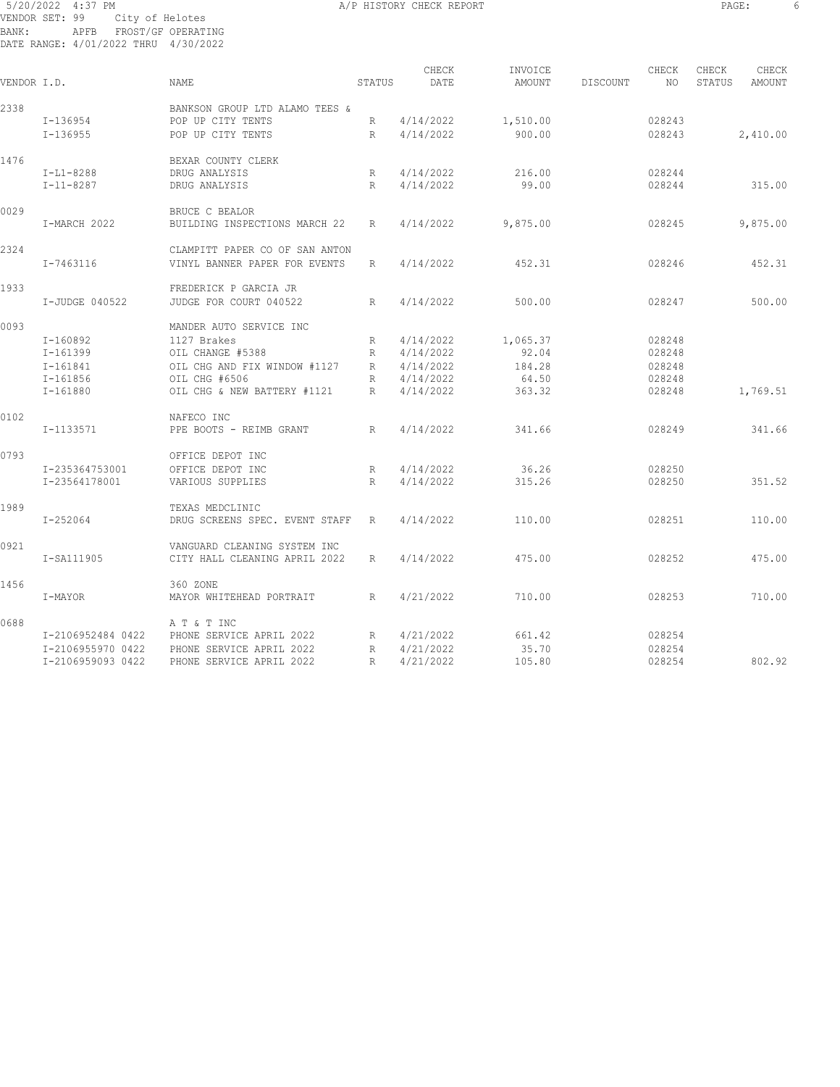# 5/20/2022 4:37 PM A/P HISTORY CHECK REPORT PAGE: 6 VENDOR SET: 99 City of Helotes BANK: APFB FROST/GF OPERATING DATE RANGE: 4/01/2022 THRU 4/30/2022

| ٠<br>$\sim$ |
|-------------|
|-------------|

| VENDOR I.D. |                   | <b>NAME</b>                                         | STATUS          | CHECK<br>DATE | INVOICE<br>AMOUNT | DISCOUNT | CHECK<br>NO | CHECK<br>STATUS | CHECK<br>AMOUNT |
|-------------|-------------------|-----------------------------------------------------|-----------------|---------------|-------------------|----------|-------------|-----------------|-----------------|
|             |                   |                                                     |                 |               |                   |          |             |                 |                 |
| 2338        | I-136954          | BANKSON GROUP LTD ALAMO TEES &<br>POP UP CITY TENTS | R               | 4/14/2022     | 1,510.00          |          | 028243      |                 |                 |
|             |                   |                                                     |                 |               |                   |          |             |                 |                 |
|             | $I-136955$        | POP UP CITY TENTS                                   | R               | 4/14/2022     | 900.00            |          | 028243      |                 | 2,410.00        |
| 1476        |                   | BEXAR COUNTY CLERK                                  |                 |               |                   |          |             |                 |                 |
|             | $I-L1-8288$       | DRUG ANALYSIS                                       | R               | 4/14/2022     | 216.00            |          | 028244      |                 |                 |
|             | $I - 11 - 8287$   | DRUG ANALYSIS                                       | R               | 4/14/2022     | 99.00             |          | 028244      |                 | 315.00          |
| 0029        |                   | <b>BRUCE C BEALOR</b>                               |                 |               |                   |          |             |                 |                 |
|             | I-MARCH 2022      | BUILDING INSPECTIONS MARCH 22                       | R               | 4/14/2022     | 9,875.00          |          | 028245      |                 | 9,875.00        |
| 2324        |                   | CLAMPITT PAPER CO OF SAN ANTON                      |                 |               |                   |          |             |                 |                 |
|             | I-7463116         | VINYL BANNER PAPER FOR EVENTS                       | R               | 4/14/2022     | 452.31            |          | 028246      |                 | 452.31          |
| 1933        |                   | FREDERICK P GARCIA JR                               |                 |               |                   |          |             |                 |                 |
|             | I-JUDGE 040522    | JUDGE FOR COURT 040522                              | R               | 4/14/2022     | 500.00            |          | 028247      |                 | 500.00          |
|             |                   |                                                     |                 |               |                   |          |             |                 |                 |
| 0093        |                   | MANDER AUTO SERVICE INC                             |                 |               |                   |          |             |                 |                 |
|             | $I-160892$        | 1127 Brakes                                         | R               | 4/14/2022     | 1,065.37          |          | 028248      |                 |                 |
|             | $I-161399$        | OIL CHANGE #5388                                    | $\mathbb{R}$    | 4/14/2022     | 92.04             |          | 028248      |                 |                 |
|             | $I - 161841$      | OIL CHG AND FIX WINDOW #1127                        | $R_{\parallel}$ | 4/14/2022     | 184.28            |          | 028248      |                 |                 |
|             | $I - 161856$      | OIL CHG #6506                                       | R               | 4/14/2022     | 64.50             |          | 028248      |                 |                 |
|             | I-161880          | OIL CHG & NEW BATTERY #1121                         | R               | 4/14/2022     | 363.32            |          | 028248      |                 | 1,769.51        |
| 0102        |                   | NAFECO INC                                          |                 |               |                   |          |             |                 |                 |
|             | I-1133571         | PPE BOOTS - REIMB GRANT                             | R               | 4/14/2022     | 341.66            |          | 028249      |                 | 341.66          |
| 0793        |                   | OFFICE DEPOT INC                                    |                 |               |                   |          |             |                 |                 |
|             | I-235364753001    | OFFICE DEPOT INC                                    | $\mathbb{R}$    | 4/14/2022     | 36.26             |          | 028250      |                 |                 |
|             | I-23564178001     | VARIOUS SUPPLIES                                    | R               | 4/14/2022     | 315.26            |          | 028250      |                 | 351.52          |
|             |                   |                                                     |                 |               |                   |          |             |                 |                 |
| 1989        |                   | TEXAS MEDCLINIC                                     |                 |               |                   |          |             |                 |                 |
|             | I-252064          | DRUG SCREENS SPEC. EVENT STAFF                      | R               | 4/14/2022     | 110.00            |          | 028251      |                 | 110.00          |
| 0921        |                   | VANGUARD CLEANING SYSTEM INC                        |                 |               |                   |          |             |                 |                 |
|             | I-SA111905        | CITY HALL CLEANING APRIL 2022                       | R               | 4/14/2022     | 475.00            |          | 028252      |                 | 475.00          |
| 1456        |                   | 360 ZONE                                            |                 |               |                   |          |             |                 |                 |
|             | I-MAYOR           | MAYOR WHITEHEAD PORTRAIT                            | R               | 4/21/2022     | 710.00            |          | 028253      |                 | 710.00          |
| 0688        |                   | A T & T INC                                         |                 |               |                   |          |             |                 |                 |
|             | I-2106952484 0422 | PHONE SERVICE APRIL 2022                            | R               | 4/21/2022     | 661.42            |          | 028254      |                 |                 |
|             | I-2106955970 0422 | PHONE SERVICE APRIL 2022                            | $\mathbb R$     | 4/21/2022     | 35.70             |          | 028254      |                 |                 |
|             | I-2106959093 0422 | PHONE SERVICE APRIL 2022                            | $\mathbb{R}$    | 4/21/2022     | 105.80            |          | 028254      |                 | 802.92          |
|             |                   |                                                     |                 |               |                   |          |             |                 |                 |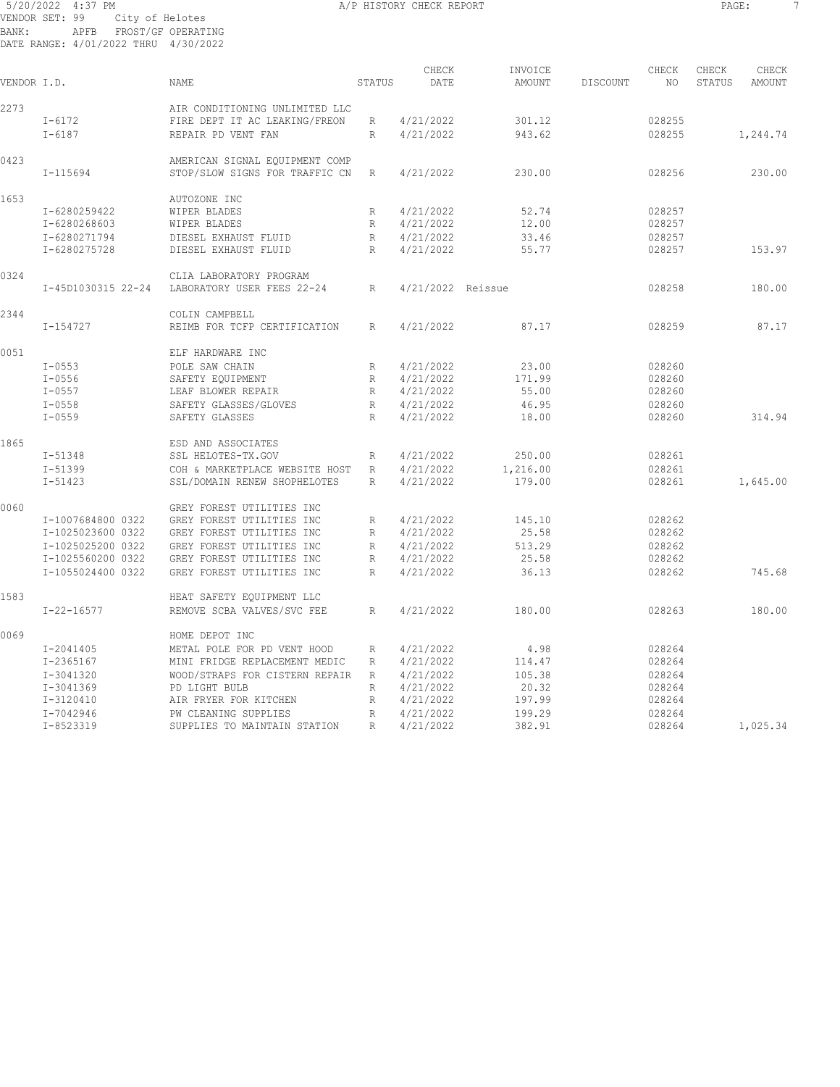# 5/20/2022 4:37 PM **A/P HISTORY CHECK REPORT PAGE:** 7 VENDOR SET: 99 City of Helotes BANK: APFB FROST/GF OPERATING DATE RANGE: 4/01/2022 THRU 4/30/2022

| VENDOR I.D. |                    | <b>NAME</b>                    | STATUS       | CHECK<br>DATE     | INVOICE<br><b>AMOUNT</b> | DISCOUNT | CHECK<br>NO. | CHECK<br>STATUS | CHECK<br><b>AMOUNT</b> |
|-------------|--------------------|--------------------------------|--------------|-------------------|--------------------------|----------|--------------|-----------------|------------------------|
| 2273        |                    | AIR CONDITIONING UNLIMITED LLC |              |                   |                          |          |              |                 |                        |
|             | $I - 6172$         | FIRE DEPT IT AC LEAKING/FREON  | R            | 4/21/2022         | 301.12                   |          | 028255       |                 |                        |
|             | $I - 6187$         | REPAIR PD VENT FAN             | R            | 4/21/2022         | 943.62                   |          | 028255       |                 | 1,244.74               |
| 0423        |                    | AMERICAN SIGNAL EQUIPMENT COMP |              |                   |                          |          |              |                 |                        |
|             | $I - 115694$       | STOP/SLOW SIGNS FOR TRAFFIC CN | $\mathbb{R}$ | 4/21/2022         | 230.00                   |          | 028256       |                 | 230.00                 |
| 1653        |                    | AUTOZONE INC                   |              |                   |                          |          |              |                 |                        |
|             | I-6280259422       | WIPER BLADES                   | R            | 4/21/2022         | 52.74                    |          | 028257       |                 |                        |
|             | I-6280268603       | WIPER BLADES                   | R            | 4/21/2022         | 12.00                    |          | 028257       |                 |                        |
|             | I-6280271794       | DIESEL EXHAUST FLUID           | R            | 4/21/2022         | 33.46                    |          | 028257       |                 |                        |
|             | I-6280275728       | DIESEL EXHAUST FLUID           | R            | 4/21/2022         | 55.77                    |          | 028257       |                 | 153.97                 |
| 0324        |                    | CLIA LABORATORY PROGRAM        |              |                   |                          |          |              |                 |                        |
|             | I-45D1030315 22-24 | LABORATORY USER FEES 22-24     | $\mathbb R$  | 4/21/2022 Reissue |                          |          | 028258       |                 | 180.00                 |
| 2344        |                    | COLIN CAMPBELL                 |              |                   |                          |          |              |                 |                        |
|             | I-154727           | REIMB FOR TCFP CERTIFICATION   | R            | 4/21/2022         | 87.17                    |          | 028259       |                 | 87.17                  |
| 0051        |                    | ELF HARDWARE INC               |              |                   |                          |          |              |                 |                        |
|             | $I - 0553$         | POLE SAW CHAIN                 | R            | 4/21/2022         | 23.00                    |          | 028260       |                 |                        |
|             | $I - 0556$         | SAFETY EQUIPMENT               | $\mathbb R$  | 4/21/2022         | 171.99                   |          | 028260       |                 |                        |
|             | $I - 0557$         | LEAF BLOWER REPAIR             | $\mathbb{R}$ | 4/21/2022         | 55.00                    |          | 028260       |                 |                        |
|             | $I - 0558$         | SAFETY GLASSES/GLOVES          | R            | 4/21/2022         | 46.95                    |          | 028260       |                 |                        |
|             | $I - 0559$         | SAFETY GLASSES                 | R            | 4/21/2022         | 18.00                    |          | 028260       |                 | 314.94                 |
| 1865        |                    | ESD AND ASSOCIATES             |              |                   |                          |          |              |                 |                        |
|             | I-51348            | SSL HELOTES-TX.GOV             | R            | 4/21/2022         | 250.00                   |          | 028261       |                 |                        |
|             | $I - 51399$        | COH & MARKETPLACE WEBSITE HOST | $\mathbb R$  | 4/21/2022         | 1,216.00                 |          | 028261       |                 |                        |
|             | $I - 51423$        | SSL/DOMAIN RENEW SHOPHELOTES   | R            | 4/21/2022         | 179.00                   |          | 028261       |                 | 1,645.00               |
| 0060        |                    | GREY FOREST UTILITIES INC      |              |                   |                          |          |              |                 |                        |
|             | I-1007684800 0322  | GREY FOREST UTILITIES INC      | R            | 4/21/2022         | 145.10                   |          | 028262       |                 |                        |
|             | I-1025023600 0322  | GREY FOREST UTILITIES INC      | R            | 4/21/2022         | 25.58                    |          | 028262       |                 |                        |
|             | I-1025025200 0322  | GREY FOREST UTILITIES INC      | R            | 4/21/2022         | 513.29                   |          | 028262       |                 |                        |
|             | I-1025560200 0322  | GREY FOREST UTILITIES INC      | R            | 4/21/2022         | 25.58                    |          | 028262       |                 |                        |
|             | I-1055024400 0322  | GREY FOREST UTILITIES INC      | R            | 4/21/2022         | 36.13                    |          | 028262       |                 | 745.68                 |
| 1583        |                    | HEAT SAFETY EQUIPMENT LLC      |              |                   |                          |          |              |                 |                        |
|             | $I - 22 - 16577$   | REMOVE SCBA VALVES/SVC FEE     | R            | 4/21/2022         | 180.00                   |          | 028263       |                 | 180.00                 |
| 0069        |                    | HOME DEPOT INC                 |              |                   |                          |          |              |                 |                        |
|             | $I - 2041405$      | METAL POLE FOR PD VENT HOOD    | R            | 4/21/2022         | 4.98                     |          | 028264       |                 |                        |
|             | I-2365167          | MINI FRIDGE REPLACEMENT MEDIC  | R            | 4/21/2022         | 114.47                   |          | 028264       |                 |                        |
|             | I-3041320          | WOOD/STRAPS FOR CISTERN REPAIR | R            | 4/21/2022         | 105.38                   |          | 028264       |                 |                        |
|             | I-3041369          | PD LIGHT BULB                  |              | 4/21/2022         | 20.32                    |          | 028264       |                 |                        |
|             |                    |                                | R            |                   | 197.99                   |          | 028264       |                 |                        |
|             | I-3120410          | AIR FRYER FOR KITCHEN          | R            | 4/21/2022         |                          |          |              |                 |                        |
|             | $I - 7042946$      | PW CLEANING SUPPLIES           | $\mathbb{R}$ | 4/21/2022         | 199.29                   |          | 028264       |                 |                        |
|             | I-8523319          | SUPPLIES TO MAINTAIN STATION   | $\mathbb{R}$ | 4/21/2022         | 382.91                   |          | 028264       |                 | 1,025.34               |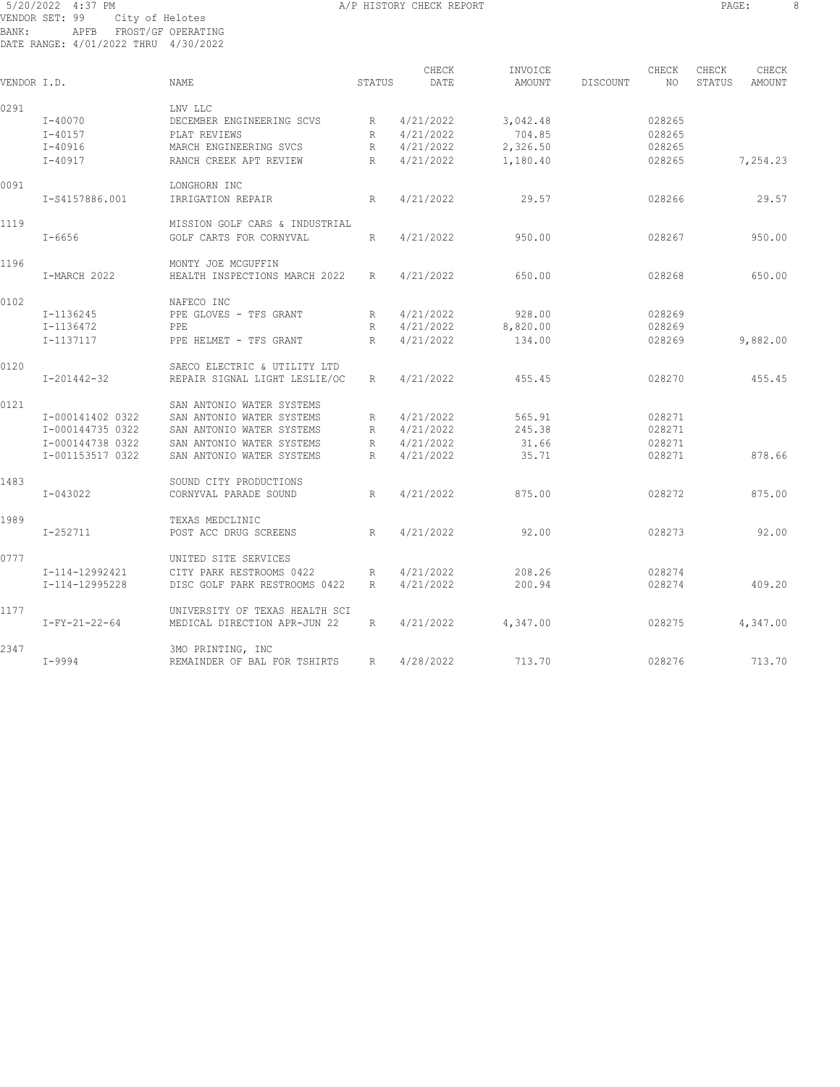# 5/20/2022 4:37 PM **A/P HISTORY CHECK REPORT PAGE:** 8 VENDOR SET: 99 City of Helotes BANK: APFB FROST/GF OPERATING DATE RANGE: 4/01/2022 THRU 4/30/2022

| ٠<br>- -<br>$\sim$ |  |
|--------------------|--|
|--------------------|--|

| VENDOR I.D. |                  | <b>NAME</b>                    | STATUS | CHECK<br>DATE | INVOICE<br>AMOUNT | DISCOUNT | CHECK<br>NO. | CHECK<br>STATUS | CHECK<br>AMOUNT |
|-------------|------------------|--------------------------------|--------|---------------|-------------------|----------|--------------|-----------------|-----------------|
|             |                  |                                |        |               |                   |          |              |                 |                 |
| 0291        |                  | LNV LLC                        |        |               |                   |          |              |                 |                 |
|             | $I - 40070$      | DECEMBER ENGINEERING SCVS      | R      | 4/21/2022     | 3,042.48          |          | 028265       |                 |                 |
|             | $I - 40157$      | PLAT REVIEWS                   | R      | 4/21/2022     | 704.85            |          | 028265       |                 |                 |
|             | $I - 40916$      | MARCH ENGINEERING SVCS         | R      | 4/21/2022     | 2,326.50          |          | 028265       |                 |                 |
|             | $I - 40917$      | RANCH CREEK APT REVIEW         | R      | 4/21/2022     | 1,180.40          |          | 028265       |                 | 7,254.23        |
| 0091        |                  | LONGHORN INC                   |        |               |                   |          |              |                 |                 |
|             | I-S4157886.001   | IRRIGATION REPAIR              | R      | 4/21/2022     | 29.57             |          | 028266       |                 | 29.57           |
| 1119        |                  | MISSION GOLF CARS & INDUSTRIAL |        |               |                   |          |              |                 |                 |
|             | $I - 6656$       | GOLF CARTS FOR CORNYVAL        | R      | 4/21/2022     | 950.00            |          | 028267       |                 | 950.00          |
| 1196        |                  | MONTY JOE MCGUFFIN             |        |               |                   |          |              |                 |                 |
|             | I-MARCH 2022     | HEALTH INSPECTIONS MARCH 2022  | R      | 4/21/2022     | 650.00            |          | 028268       |                 | 650.00          |
| 0102        |                  | NAFECO INC                     |        |               |                   |          |              |                 |                 |
|             | I-1136245        | PPE GLOVES - TFS GRANT         | R      | 4/21/2022     | 928.00            |          | 028269       |                 |                 |
|             | I-1136472        | PPE                            | R      | 4/21/2022     | 8,820.00          |          | 028269       |                 |                 |
|             | I-1137117        | PPE HELMET - TFS GRANT         | R      | 4/21/2022     | 134.00            |          | 028269       |                 | 9,882.00        |
| 0120        |                  | SAECO ELECTRIC & UTILITY LTD   |        |               |                   |          |              |                 |                 |
|             | I-201442-32      | REPAIR SIGNAL LIGHT LESLIE/OC  | R      | 4/21/2022     | 455.45            |          | 028270       |                 | 455.45          |
| 0121        |                  | SAN ANTONIO WATER SYSTEMS      |        |               |                   |          |              |                 |                 |
|             | I-000141402 0322 | SAN ANTONIO WATER SYSTEMS      | R      | 4/21/2022     | 565.91            |          | 028271       |                 |                 |
|             | I-000144735 0322 | SAN ANTONIO WATER SYSTEMS      | R      | 4/21/2022     | 245.38            |          | 028271       |                 |                 |
|             | I-000144738 0322 | SAN ANTONIO WATER SYSTEMS      | R      | 4/21/2022     | 31.66             |          | 028271       |                 |                 |
|             | I-001153517 0322 | SAN ANTONIO WATER SYSTEMS      | R      | 4/21/2022     | 35.71             |          | 028271       |                 | 878.66          |
| 1483        |                  | SOUND CITY PRODUCTIONS         |        |               |                   |          |              |                 |                 |
|             | I-043022         | CORNYVAL PARADE SOUND          | R      | 4/21/2022     | 875.00            |          | 028272       |                 | 875.00          |
| 1989        |                  | TEXAS MEDCLINIC                |        |               |                   |          |              |                 |                 |
|             | I-252711         | POST ACC DRUG SCREENS          | R      | 4/21/2022     | 92.00             |          | 028273       |                 | 92.00           |
| 0777        |                  | UNITED SITE SERVICES           |        |               |                   |          |              |                 |                 |
|             | I-114-12992421   | CITY PARK RESTROOMS 0422       | R      | 4/21/2022     | 208.26            |          | 028274       |                 |                 |
|             | I-114-12995228   | DISC GOLF PARK RESTROOMS 0422  | R      | 4/21/2022     | 200.94            |          | 028274       |                 | 409.20          |
| 1177        |                  | UNIVERSITY OF TEXAS HEALTH SCI |        |               |                   |          |              |                 |                 |
|             | $I-FY-21-22-64$  | MEDICAL DIRECTION APR-JUN 22   | R      | 4/21/2022     | 4,347.00          |          | 028275       |                 | 4,347.00        |
| 2347        |                  | 3MO PRINTING, INC              |        |               |                   |          |              |                 |                 |
|             | I-9994           | REMAINDER OF BAL FOR TSHIRTS   | R      | 4/28/2022     | 713.70            |          | 028276       |                 | 713.70          |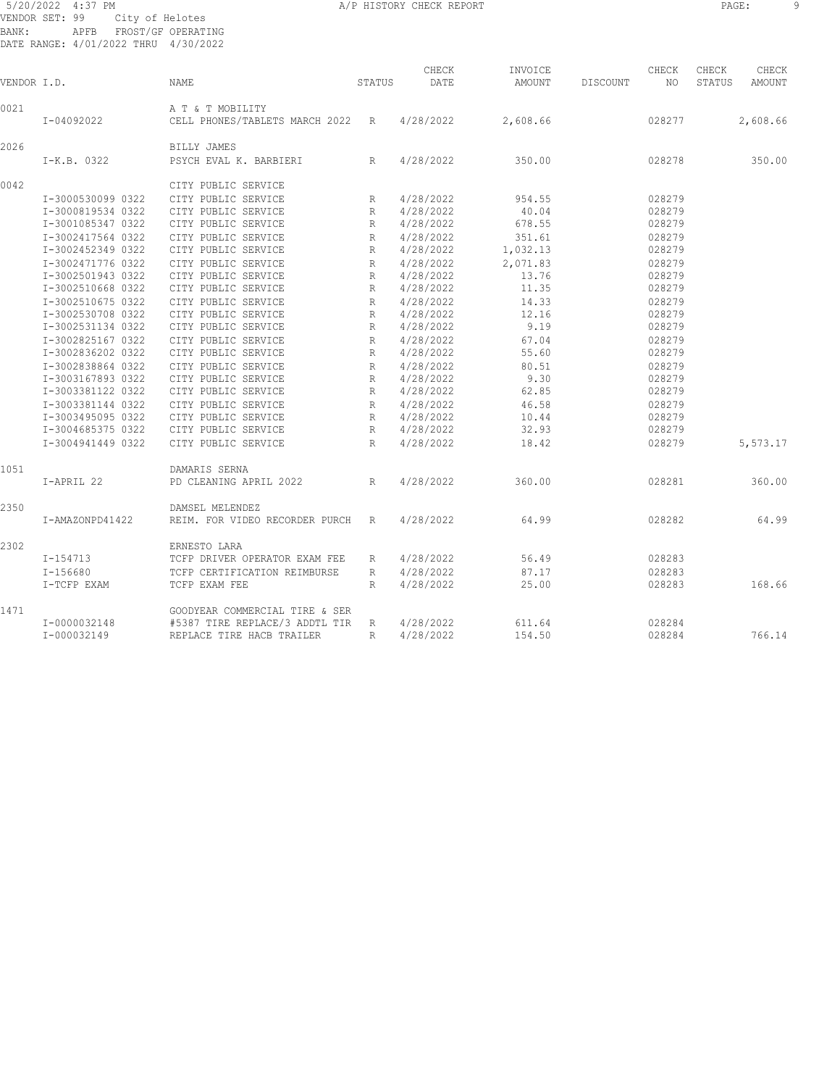# 5/20/2022 4:37 PM A/P HISTORY CHECK REPORT PAGE: 9 VENDOR SET: 99 City of Helotes BANK: APFB FROST/GF OPERATING DATE RANGE: 4/01/2022 THRU 4/30/2022

| VENDOR I.D. |                   | NAME                                                 | STATUS       | CHECK<br>DATE | INVOICE<br>AMOUNT | DISCOUNT | CHECK<br>NO. | CHECK<br>STATUS | CHECK<br>AMOUNT |
|-------------|-------------------|------------------------------------------------------|--------------|---------------|-------------------|----------|--------------|-----------------|-----------------|
|             |                   |                                                      |              |               |                   |          |              |                 |                 |
| 0021        | I-04092022        | A T & T MOBILITY<br>CELL PHONES/TABLETS MARCH 2022 R |              | 4/28/2022     | 2,608.66          |          | 028277       |                 | 2,608.66        |
|             |                   |                                                      |              |               |                   |          |              |                 |                 |
| 2026        |                   | BILLY JAMES                                          |              |               |                   |          |              |                 |                 |
|             | I-K.B. 0322       | PSYCH EVAL K. BARBIERI                               | $\mathbb{R}$ | 4/28/2022     | 350.00            |          | 028278       |                 | 350.00          |
| 0042        |                   | CITY PUBLIC SERVICE                                  |              |               |                   |          |              |                 |                 |
|             | I-3000530099 0322 | CITY PUBLIC SERVICE                                  | R            | 4/28/2022     | 954.55            |          | 028279       |                 |                 |
|             | I-3000819534 0322 | CITY PUBLIC SERVICE                                  | R            | 4/28/2022     | 40.04             |          | 028279       |                 |                 |
|             | I-3001085347 0322 | CITY PUBLIC SERVICE                                  | R            | 4/28/2022     | 678.55            |          | 028279       |                 |                 |
|             | I-3002417564 0322 | CITY PUBLIC SERVICE                                  | $\mathbb{R}$ | 4/28/2022     | 351.61            |          | 028279       |                 |                 |
|             | I-3002452349 0322 | CITY PUBLIC SERVICE                                  | R            | 4/28/2022     | 1,032.13          |          | 028279       |                 |                 |
|             | I-3002471776 0322 | CITY PUBLIC SERVICE                                  | $\mathbb{R}$ | 4/28/2022     | 2,071.83          |          | 028279       |                 |                 |
|             | I-3002501943 0322 | CITY PUBLIC SERVICE                                  | R            | 4/28/2022     | 13.76             |          | 028279       |                 |                 |
|             | I-3002510668 0322 | CITY PUBLIC SERVICE                                  | R            | 4/28/2022     | 11.35             |          | 028279       |                 |                 |
|             | I-3002510675 0322 | CITY PUBLIC SERVICE                                  | R            | 4/28/2022     | 14.33             |          | 028279       |                 |                 |
|             | I-3002530708 0322 | CITY PUBLIC SERVICE                                  | R            | 4/28/2022     | 12.16             |          | 028279       |                 |                 |
|             | I-3002531134 0322 | CITY PUBLIC SERVICE                                  | R            | 4/28/2022     | 9.19              |          | 028279       |                 |                 |
|             | I-3002825167 0322 | CITY PUBLIC SERVICE                                  | $\mathbb{R}$ | 4/28/2022     | 67.04             |          | 028279       |                 |                 |
|             | I-3002836202 0322 | CITY PUBLIC SERVICE                                  | R            | 4/28/2022     | 55.60             |          | 028279       |                 |                 |
|             | I-3002838864 0322 | CITY PUBLIC SERVICE                                  | $\mathbb{R}$ | 4/28/2022     | 80.51             |          | 028279       |                 |                 |
|             | I-3003167893 0322 | CITY PUBLIC SERVICE                                  | R            | 4/28/2022     | 9.30              |          | 028279       |                 |                 |
|             | I-3003381122 0322 | CITY PUBLIC SERVICE                                  | R            | 4/28/2022     | 62.85             |          | 028279       |                 |                 |
|             | I-3003381144 0322 | CITY PUBLIC SERVICE                                  | $\mathbb{R}$ | 4/28/2022     | 46.58             |          | 028279       |                 |                 |
|             | I-3003495095 0322 | CITY PUBLIC SERVICE                                  | R            | 4/28/2022     | 10.44             |          | 028279       |                 |                 |
|             | I-3004685375 0322 | CITY PUBLIC SERVICE                                  | $\mathbb{R}$ | 4/28/2022     | 32.93             |          | 028279       |                 |                 |
|             | I-3004941449 0322 | CITY PUBLIC SERVICE                                  | $\mathbb{R}$ | 4/28/2022     | 18.42             |          | 028279       |                 | 5,573.17        |
| 1051        |                   | DAMARIS SERNA                                        |              |               |                   |          |              |                 |                 |
|             | I-APRIL 22        | PD CLEANING APRIL 2022                               | R            | 4/28/2022     | 360.00            |          | 028281       |                 | 360.00          |
| 2350        |                   | DAMSEL MELENDEZ                                      |              |               |                   |          |              |                 |                 |
|             | I-AMAZONPD41422   | REIM. FOR VIDEO RECORDER PURCH                       | R            | 4/28/2022     | 64.99             |          | 028282       |                 | 64.99           |
| 2302        |                   | ERNESTO LARA                                         |              |               |                   |          |              |                 |                 |
|             | $I-154713$        | TCFP DRIVER OPERATOR EXAM FEE                        | R            | 4/28/2022     | 56.49             |          | 028283       |                 |                 |
|             | $I - 156680$      | TCFP CERTIFICATION REIMBURSE                         | R            | 4/28/2022     | 87.17             |          | 028283       |                 |                 |
|             | I-TCFP EXAM       | TCFP EXAM FEE                                        | R            | 4/28/2022     | 25.00             |          | 028283       |                 | 168.66          |
|             |                   |                                                      |              |               |                   |          |              |                 |                 |
| 1471        |                   | GOODYEAR COMMERCIAL TIRE & SER                       |              |               |                   |          |              |                 |                 |
|             | I-0000032148      | #5387 TIRE REPLACE/3 ADDTL TIR                       | R            | 4/28/2022     | 611.64            |          | 028284       |                 |                 |
|             | I-000032149       | REPLACE TIRE HACB TRAILER                            | R            | 4/28/2022     | 154.50            |          | 028284       |                 | 766.14          |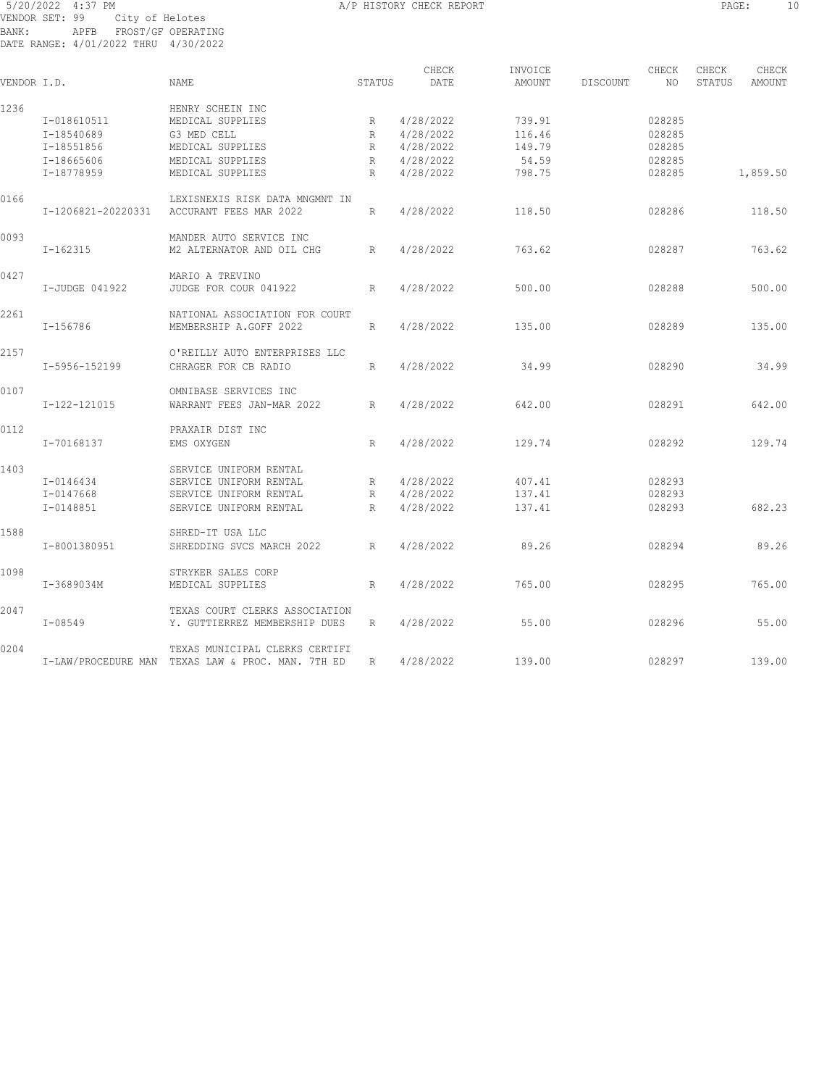# 5/20/2022 4:37 PM **A/P HISTORY CHECK REPORT PAGE:** 10 VENDOR SET: 99 City of Helotes BANK: APFB FROST/GF OPERATING DATE RANGE: 4/01/2022 THRU 4/30/2022

| VENDOR I.D. |                    | <b>NAME</b>                                       | STATUS          | CHECK<br>DATE | INVOICE<br>AMOUNT | DISCOUNT | CHECK<br>NO | CHECK<br>STATUS | CHECK<br>AMOUNT |
|-------------|--------------------|---------------------------------------------------|-----------------|---------------|-------------------|----------|-------------|-----------------|-----------------|
| 1236        |                    | HENRY SCHEIN INC                                  |                 |               |                   |          |             |                 |                 |
|             | I-018610511        | MEDICAL SUPPLIES                                  | R               | 4/28/2022     | 739.91            |          | 028285      |                 |                 |
|             | I-18540689         | G3 MED CELL                                       | R               | 4/28/2022     | 116.46            |          | 028285      |                 |                 |
|             | I-18551856         | MEDICAL SUPPLIES                                  | R               | 4/28/2022     | 149.79            |          | 028285      |                 |                 |
|             | I-18665606         | MEDICAL SUPPLIES                                  | R               | 4/28/2022     | 54.59             |          | 028285      |                 |                 |
|             | I-18778959         | MEDICAL SUPPLIES                                  | R               | 4/28/2022     | 798.75            |          | 028285      |                 | 1,859.50        |
| 0166        |                    | LEXISNEXIS RISK DATA MNGMNT IN                    |                 |               |                   |          |             |                 |                 |
|             | I-1206821-20220331 | ACCURANT FEES MAR 2022                            | R               | 4/28/2022     | 118.50            |          | 028286      |                 | 118.50          |
| 0093        |                    | MANDER AUTO SERVICE INC                           |                 |               |                   |          |             |                 |                 |
|             | $I - 162315$       | M2 ALTERNATOR AND OIL CHG                         | $R_{\parallel}$ | 4/28/2022     | 763.62            |          | 028287      |                 | 763.62          |
| 0427        |                    | MARIO A TREVINO                                   |                 |               |                   |          |             |                 |                 |
|             | I-JUDGE 041922     | JUDGE FOR COUR 041922                             | R               | 4/28/2022     | 500.00            |          | 028288      |                 | 500.00          |
| 2261        |                    | NATIONAL ASSOCIATION FOR COURT                    |                 |               |                   |          |             |                 |                 |
|             | I-156786           | MEMBERSHIP A.GOFF 2022                            | R               | 4/28/2022     | 135.00            |          | 028289      |                 | 135.00          |
| 2157        |                    | O'REILLY AUTO ENTERPRISES LLC                     |                 |               |                   |          |             |                 |                 |
|             | I-5956-152199      | CHRAGER FOR CB RADIO                              | R               | 4/28/2022     | 34.99             |          | 028290      |                 | 34.99           |
| 0107        |                    | OMNIBASE SERVICES INC                             |                 |               |                   |          |             |                 |                 |
|             | $I-122-121015$     | WARRANT FEES JAN-MAR 2022                         | R               | 4/28/2022     | 642.00            |          | 028291      |                 | 642.00          |
| 0112        |                    | PRAXAIR DIST INC                                  |                 |               |                   |          |             |                 |                 |
|             | I-70168137         | EMS OXYGEN                                        | R               | 4/28/2022     | 129.74            |          | 028292      |                 | 129.74          |
| 1403        |                    | SERVICE UNIFORM RENTAL                            |                 |               |                   |          |             |                 |                 |
|             | I-0146434          | SERVICE UNIFORM RENTAL                            | R               | 4/28/2022     | 407.41            |          | 028293      |                 |                 |
|             | I-0147668          | SERVICE UNIFORM RENTAL                            | R               | 4/28/2022     | 137.41            |          | 028293      |                 |                 |
|             | I-0148851          | SERVICE UNIFORM RENTAL                            | R               | 4/28/2022     | 137.41            |          | 028293      |                 | 682.23          |
| 1588        |                    | SHRED-IT USA LLC                                  |                 |               |                   |          |             |                 |                 |
|             | I-8001380951       | SHREDDING SVCS MARCH 2022                         | R               | 4/28/2022     | 89.26             |          | 028294      |                 | 89.26           |
| 1098        |                    | STRYKER SALES CORP                                |                 |               |                   |          |             |                 |                 |
|             | I-3689034M         | MEDICAL SUPPLIES                                  | R               | 4/28/2022     | 765.00            |          | 028295      |                 | 765.00          |
| 2047        |                    | TEXAS COURT CLERKS ASSOCIATION                    |                 |               |                   |          |             |                 |                 |
|             | $I - 08549$        | Y. GUTTIERREZ MEMBERSHIP DUES                     | R               | 4/28/2022     | 55.00             |          | 028296      |                 | 55.00           |
| 0204        |                    | TEXAS MUNICIPAL CLERKS CERTIFI                    |                 |               |                   |          |             |                 |                 |
|             |                    | I-LAW/PROCEDURE MAN TEXAS LAW & PROC. MAN. 7TH ED | R               | 4/28/2022     | 139.00            |          | 028297      |                 | 139.00          |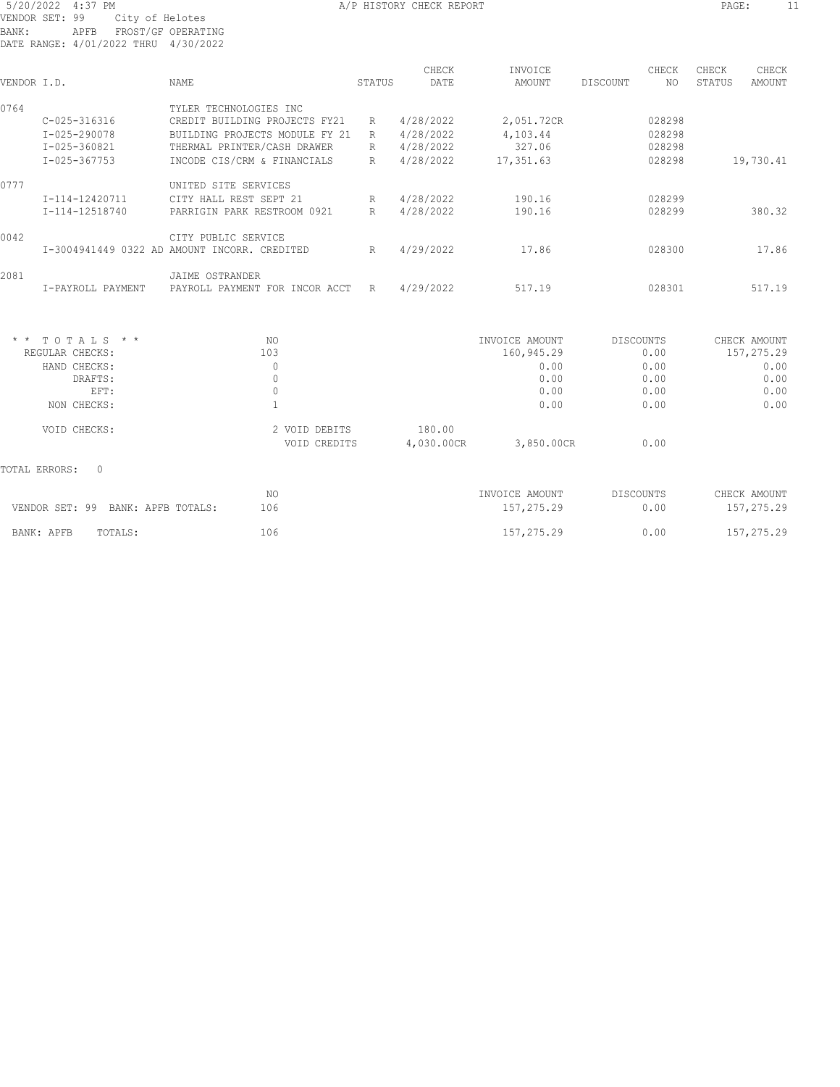|             |                    |                                              |        | CHECK     | INVOICE    |          | CHECK  | CHECK  | CHECK     |
|-------------|--------------------|----------------------------------------------|--------|-----------|------------|----------|--------|--------|-----------|
| VENDOR I.D. |                    | NAME                                         | STATUS | DATE      | AMOUNT     | DISCOUNT | NO.    | STATUS | AMOUNT    |
| 0764        |                    | TYLER TECHNOLOGIES INC                       |        |           |            |          |        |        |           |
|             | C-025-316316       | CREDIT BUILDING PROJECTS FY21                | R      | 4/28/2022 | 2,051.72CR |          | 028298 |        |           |
|             | $I - 025 - 290078$ | BUILDING PROJECTS MODULE FY 21               | R      | 4/28/2022 | 4,103.44   |          | 028298 |        |           |
|             | I-025-360821       | THERMAL PRINTER/CASH DRAWER                  | R      | 4/28/2022 | 327.06     |          | 028298 |        |           |
|             | I-025-367753       | INCODE CIS/CRM & FINANCIALS                  | R      | 4/28/2022 | 17,351.63  |          | 028298 |        | 19,730.41 |
| 0777        |                    | UNITED SITE SERVICES                         |        |           |            |          |        |        |           |
|             | I-114-12420711     | CITY HALL REST SEPT 21                       | R      | 4/28/2022 | 190.16     |          | 028299 |        |           |
|             | I-114-12518740     | PARRIGIN PARK RESTROOM 0921                  | R      | 4/28/2022 | 190.16     |          | 028299 |        | 380.32    |
| 0042        |                    | CITY PUBLIC SERVICE                          |        |           |            |          |        |        |           |
|             |                    | I-3004941449 0322 AD AMOUNT INCORR. CREDITED | R      | 4/29/2022 | 17.86      |          | 028300 |        | 17.86     |
| 2081        |                    | JAIME OSTRANDER                              |        |           |            |          |        |        |           |
|             | I-PAYROLL PAYMENT  | PAYROLL PAYMENT FOR<br>INCOR ACCT            | R      | 4/29/2022 | 517.19     |          | 028301 |        | 517.19    |

| $*$ * TOTALS * *   | NO.                           | INVOICE AMOUNT                     | DISCOUNTS | CHECK AMOUNT |
|--------------------|-------------------------------|------------------------------------|-----------|--------------|
| REGULAR CHECKS:    | 103                           | 160,945.29                         | 0.00      | 157,275.29   |
| HAND CHECKS:       | 0                             | 0.00                               | 0.00      | 0.00         |
| DRAFTS:            | 0                             | 0.00                               | 0.00      | 0.00         |
| EFT:               | 0                             | 0.00                               | 0.00      | 0.00         |
| NON CHECKS:        |                               | 0.00                               | 0.00      | 0.00         |
| VOID CHECKS:       | 2 VOID DEBITS<br>VOID CREDITS | 180.00<br>4,030.00CR<br>3,850.00CR | 0.00      |              |
| TOTAL ERRORS:<br>0 |                               |                                    |           |              |

| VENDOR SET: 99 BANK: APFB TOTALS: | 106 | INVOICE AMOUNT<br>157, 275, 29 | DISCOUNTS<br>0.00 | CHECK AMOUNT<br>157,275.29 |
|-----------------------------------|-----|--------------------------------|-------------------|----------------------------|
| BANK: APFB<br>TOTALS:             | 106 | 157, 275. 29                   | 0.00              | 157,275.29                 |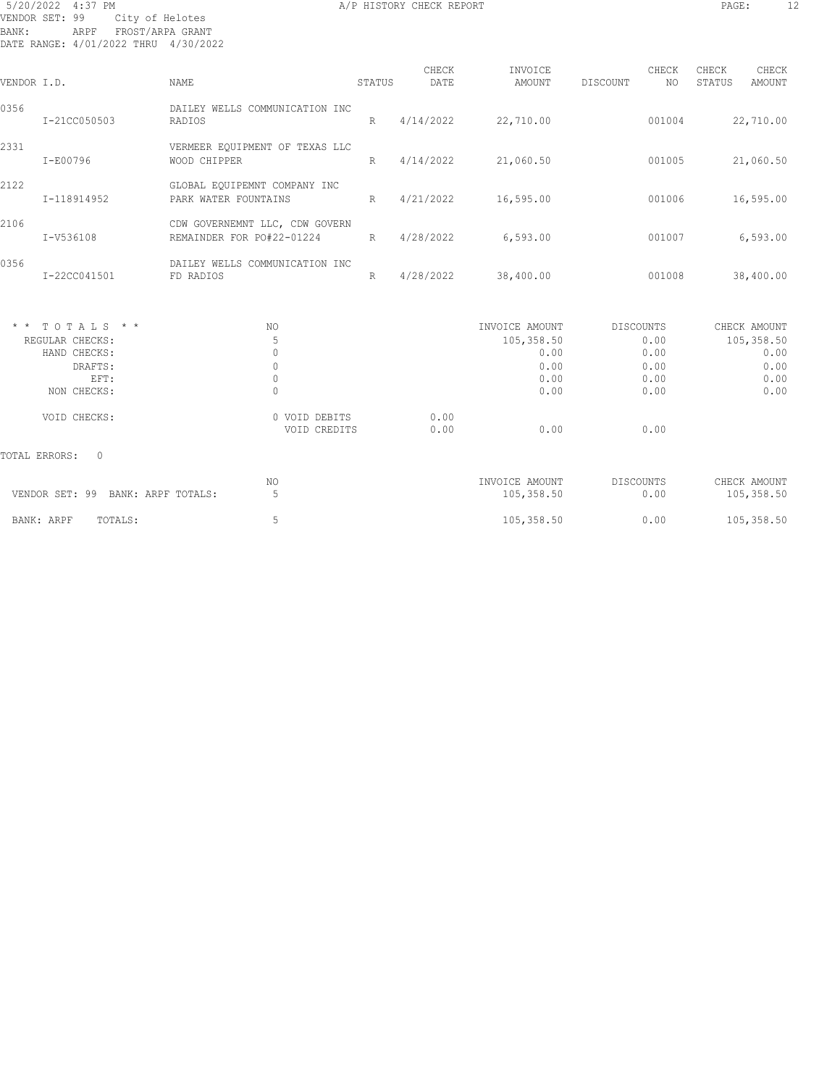# 5/20/2022 4:37 PM **A/P HISTORY CHECK REPORT PAGE:** 12 VENDOR SET: 99 City of Helotes BANK: ARPF FROST/ARPA GRANT DATE RANGE: 4/01/2022 THRU 4/30/2022

| VENDOR I.D. |                                                                                       | NAME                                                                | STATUS          | CHECK<br>DATE | INVOICE<br>AMOUNT                                            | CHECK<br>DISCOUNT<br>NO.                          | CHECK<br>CHECK<br>STATUS<br><b>AMOUNT</b>                  |
|-------------|---------------------------------------------------------------------------------------|---------------------------------------------------------------------|-----------------|---------------|--------------------------------------------------------------|---------------------------------------------------|------------------------------------------------------------|
| 0356        | I-21CC050503                                                                          | DAILEY WELLS COMMUNICATION INC<br>RADIOS                            | R               | 4/14/2022     | 22,710.00                                                    | 001004                                            | 22,710.00                                                  |
| 2331        | I-E00796                                                                              | VERMEER EQUIPMENT OF TEXAS LLC<br>WOOD CHIPPER                      | R               | 4/14/2022     | 21,060.50                                                    | 001005                                            | 21,060.50                                                  |
| 2122        | I-118914952                                                                           | GLOBAL EQUIPEMNT COMPANY INC<br>PARK WATER FOUNTAINS                | $R_{\parallel}$ | 4/21/2022     | 16,595.00                                                    | 001006                                            | 16,595.00                                                  |
| 2106        | I-V536108                                                                             | CDW GOVERNEMNT LLC, CDW GOVERN<br>REMAINDER FOR PO#22-01224         | R               | 4/28/2022     | 6, 593.00                                                    | 001007                                            | 6,593.00                                                   |
| 0356        | I-22CC041501                                                                          | DAILEY WELLS COMMUNICATION INC<br>FD RADIOS                         | R               | 4/28/2022     | 38,400.00                                                    | 001008                                            | 38,400.00                                                  |
|             | $*$ * TOTALS * *<br>REGULAR CHECKS:<br>HAND CHECKS:<br>DRAFTS:<br>EFT:<br>NON CHECKS: | NO.<br>5<br>$\mathbf{0}$<br>$\mathbf{0}$<br>$\circ$<br>$\mathbf{0}$ |                 |               | INVOICE AMOUNT<br>105,358.50<br>0.00<br>0.00<br>0.00<br>0.00 | DISCOUNTS<br>0.00<br>0.00<br>0.00<br>0.00<br>0.00 | CHECK AMOUNT<br>105,358.50<br>0.00<br>0.00<br>0.00<br>0.00 |
|             | VOID CHECKS:                                                                          | 0 VOID DEBITS<br>VOID CREDITS                                       |                 | 0.00<br>0.00  | 0.00                                                         | 0.00                                              |                                                            |
|             | <b>TOTAL ERRORS:</b><br>$\Omega$                                                      |                                                                     |                 |               |                                                              |                                                   |                                                            |

| VENDOR SET: 99 BANK: ARPF TOTALS: | NΟ | INVOICE AMOUNT<br>105,358.50 | <b>DISCOUNTS</b><br>0.00 | CHECK AMOUNT<br>105,358.50 |
|-----------------------------------|----|------------------------------|--------------------------|----------------------------|
| BANK: ARPF<br>TOTALS:             |    | 105,358.50                   | 0.00                     | 105,358.50                 |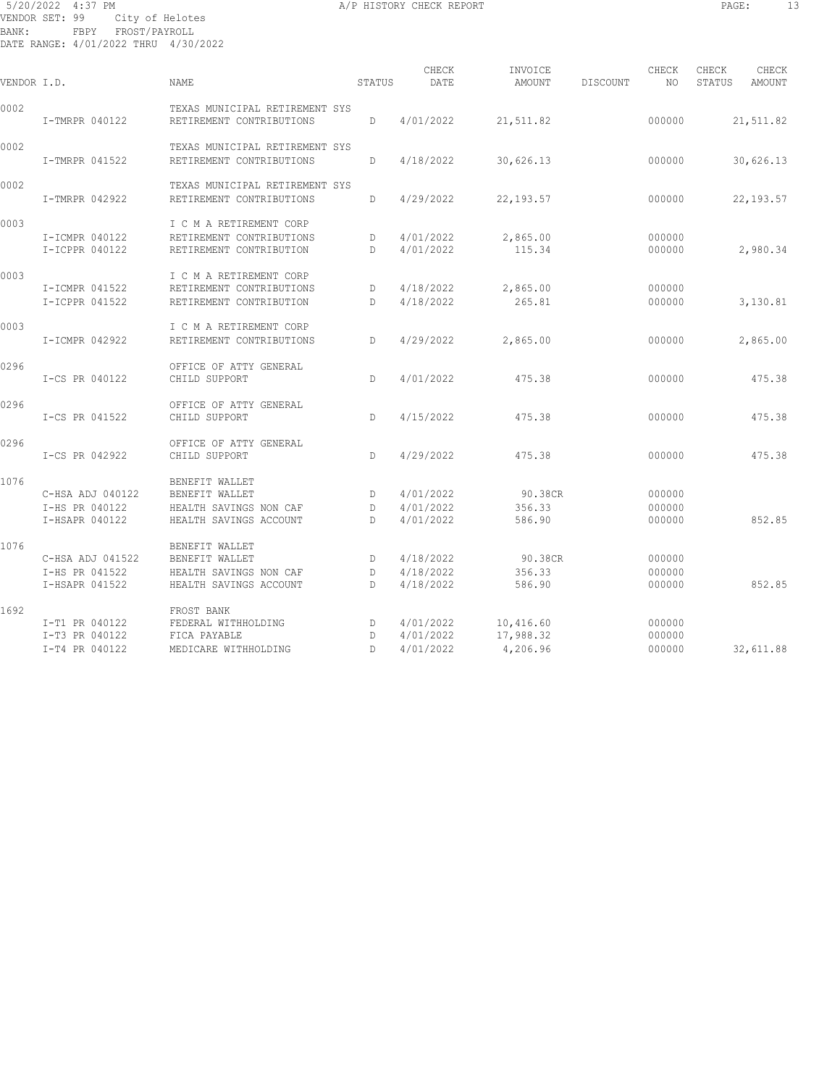## 5/20/2022 4:37 PM **A/P HISTORY CHECK REPORT PAGE:** 13 VENDOR SET: 99 City of Helotes BANK: FBPY FROST/PAYROLL DATE RANGE: 4/01/2022 THRU 4/30/2022

| VENDOR I.D. |                                                      | NAME                                                                                 | STATUS                 | CHECK<br>DATE                       | INVOICE<br>AMOUNT                  | DISCOUNT | CHECK<br>NO.               | CHECK<br>STATUS | CHECK<br>AMOUNT |
|-------------|------------------------------------------------------|--------------------------------------------------------------------------------------|------------------------|-------------------------------------|------------------------------------|----------|----------------------------|-----------------|-----------------|
| 0002        | I-TMRPR 040122                                       | TEXAS MUNICIPAL RETIREMENT SYS<br>RETIREMENT CONTRIBUTIONS                           | D                      | 4/01/2022                           | 21,511.82                          |          | 000000                     |                 | 21,511.82       |
| 0002        | I-TMRPR 041522                                       | TEXAS MUNICIPAL RETIREMENT SYS<br>RETIREMENT CONTRIBUTIONS                           | D                      | 4/18/2022                           | 30,626.13                          |          | 000000                     |                 | 30,626.13       |
| 0002        | I-TMRPR 042922                                       | TEXAS MUNICIPAL RETIREMENT SYS<br>RETIREMENT CONTRIBUTIONS                           | D                      | 4/29/2022                           | 22, 193.57                         |          | 000000                     |                 | 22, 193.57      |
| 0003        | I-ICMPR 040122<br>I-ICPPR 040122                     | I C M A RETIREMENT CORP<br>RETIREMENT CONTRIBUTIONS<br>RETIREMENT CONTRIBUTION       | D<br>D                 | 4/01/2022<br>4/01/2022              | 2,865.00<br>115.34                 |          | 000000<br>000000           |                 | 2,980.34        |
| 0003        | I-ICMPR 041522<br>I-ICPPR 041522                     | I C M A RETIREMENT CORP<br>RETIREMENT CONTRIBUTIONS<br>RETIREMENT CONTRIBUTION       | D<br>D                 | 4/18/2022<br>4/18/2022              | 2,865.00<br>265.81                 |          | 000000<br>000000           |                 | 3,130.81        |
| 0003        | I-ICMPR 042922                                       | I C M A RETIREMENT CORP<br>RETIREMENT CONTRIBUTIONS                                  | D                      | 4/29/2022                           | 2,865.00                           |          | 000000                     |                 | 2,865.00        |
| 0296        | I-CS PR 040122                                       | OFFICE OF ATTY GENERAL<br>CHILD SUPPORT                                              | D                      | 4/01/2022                           | 475.38                             |          | 000000                     |                 | 475.38          |
| 0296        | I-CS PR 041522                                       | OFFICE OF ATTY GENERAL<br>CHILD SUPPORT                                              | D                      | 4/15/2022                           | 475.38                             |          | 000000                     |                 | 475.38          |
| 0296        | I-CS PR 042922                                       | OFFICE OF ATTY GENERAL<br>CHILD SUPPORT                                              | $\mathbb{D}$           | 4/29/2022                           | 475.38                             |          | 000000                     |                 | 475.38          |
| 1076        | C-HSA ADJ 040122<br>I-HS PR 040122<br>I-HSAPR 040122 | BENEFIT WALLET<br>BENEFIT WALLET<br>HEALTH SAVINGS NON CAF<br>HEALTH SAVINGS ACCOUNT | D<br>D<br>D            | 4/01/2022<br>4/01/2022<br>4/01/2022 | 90.38CR<br>356.33<br>586.90        |          | 000000<br>000000<br>000000 |                 | 852.85          |
| 1076        | C-HSA ADJ 041522<br>I-HS PR 041522<br>I-HSAPR 041522 | BENEFIT WALLET<br>BENEFIT WALLET<br>HEALTH SAVINGS NON CAF<br>HEALTH SAVINGS ACCOUNT | D<br>D<br>D.           | 4/18/2022<br>4/18/2022<br>4/18/2022 | 90.38CR<br>356.33<br>586.90        |          | 000000<br>000000<br>000000 |                 | 852.85          |
| 1692        | I-T1 PR 040122<br>I-T3 PR 040122<br>I-T4 PR 040122   | FROST BANK<br>FEDERAL WITHHOLDING<br>FICA PAYABLE<br>MEDICARE WITHHOLDING            | D<br>D<br>$\mathbb{D}$ | 4/01/2022<br>4/01/2022<br>4/01/2022 | 10,416.60<br>17,988.32<br>4,206.96 |          | 000000<br>000000<br>000000 |                 | 32,611.88       |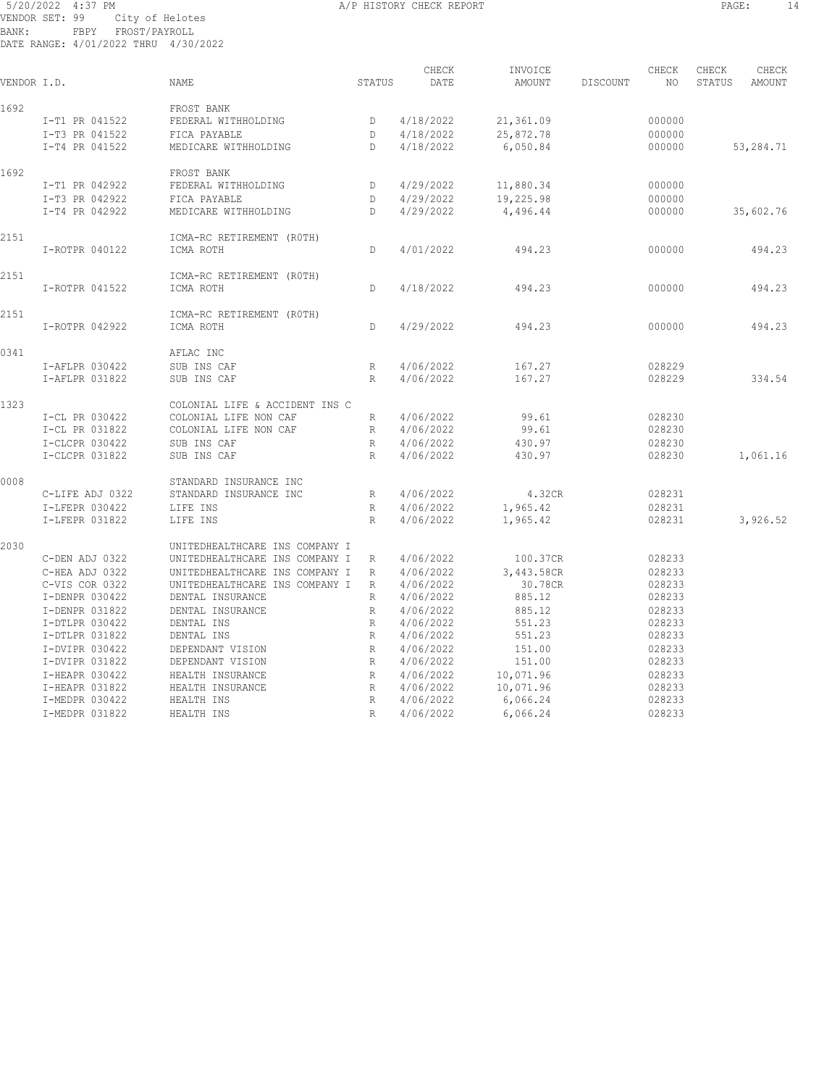#### 5/20/2022 4:37 PM **A/P HISTORY CHECK REPORT PAGE:** 14 VENDOR SET: 99 City of Helotes BANK: FBPY FROST/PAYROLL DATE RANGE: 4/01/2022 THRU 4/30/2022

| VENDOR I.D. |                 | NAME                           | STATUS          | CHECK<br>DATE | INVOICE<br>AMOUNT | DISCOUNT | CHECK<br>NO. | CHECK<br>STATUS | CHECK<br>AMOUNT |
|-------------|-----------------|--------------------------------|-----------------|---------------|-------------------|----------|--------------|-----------------|-----------------|
| 1692        |                 | FROST BANK                     |                 |               |                   |          |              |                 |                 |
|             | I-T1 PR 041522  | FEDERAL WITHHOLDING            | D               | 4/18/2022     | 21,361.09         |          | 000000       |                 |                 |
|             | I-T3 PR 041522  | FICA PAYABLE                   | D               | 4/18/2022     | 25,872.78         |          | 000000       |                 |                 |
|             | I-T4 PR 041522  | MEDICARE WITHHOLDING           | D               | 4/18/2022     | 6,050.84          |          | 000000       |                 | 53,284.71       |
| 1692        |                 | FROST BANK                     |                 |               |                   |          |              |                 |                 |
|             | I-T1 PR 042922  | FEDERAL WITHHOLDING            | D               | 4/29/2022     | 11,880.34         |          | 000000       |                 |                 |
|             | I-T3 PR 042922  | FICA PAYABLE                   | D               | 4/29/2022     | 19,225.98         |          | 000000       |                 |                 |
|             | I-T4 PR 042922  | MEDICARE WITHHOLDING           | D               | 4/29/2022     | 4,496.44          |          | 000000       |                 | 35,602.76       |
| 2151        |                 | ICMA-RC RETIREMENT (ROTH)      |                 |               |                   |          |              |                 |                 |
|             | I-ROTPR 040122  | ICMA ROTH                      | D               | 4/01/2022     | 494.23            |          | 000000       |                 | 494.23          |
| 2151        |                 | ICMA-RC RETIREMENT (ROTH)      |                 |               |                   |          |              |                 |                 |
|             | I-ROTPR 041522  | ICMA ROTH                      | D               | 4/18/2022     | 494.23            |          | 000000       |                 | 494.23          |
| 2151        |                 | ICMA-RC RETIREMENT (ROTH)      |                 |               |                   |          |              |                 |                 |
|             | I-ROTPR 042922  | ICMA ROTH                      | D               | 4/29/2022     | 494.23            |          | 000000       |                 | 494.23          |
| 0341        |                 | AFLAC INC                      |                 |               |                   |          |              |                 |                 |
|             | I-AFLPR 030422  | SUB INS CAF                    | R               | 4/06/2022     | 167.27            |          | 028229       |                 |                 |
|             | I-AFLPR 031822  | SUB INS CAF                    | R               | 4/06/2022     | 167.27            |          | 028229       |                 | 334.54          |
| 1323        |                 | COLONIAL LIFE & ACCIDENT INS C |                 |               |                   |          |              |                 |                 |
|             | I-CL PR 030422  | COLONIAL LIFE NON CAF          | R               | 4/06/2022     | 99.61             |          | 028230       |                 |                 |
|             | I-CL PR 031822  | COLONIAL LIFE NON CAF          | $R_{\perp}$     | 4/06/2022     | 99.61             |          | 028230       |                 |                 |
|             | I-CLCPR 030422  | SUB INS CAF                    | R               | 4/06/2022     | 430.97            |          | 028230       |                 |                 |
|             | I-CLCPR 031822  | SUB INS CAF                    | R               | 4/06/2022     | 430.97            |          | 028230       |                 | 1,061.16        |
| 0008        |                 | STANDARD INSURANCE INC         |                 |               |                   |          |              |                 |                 |
|             | C-LIFE ADJ 0322 | STANDARD INSURANCE INC         | $R_{\parallel}$ | 4/06/2022     | 4.32CR            |          | 028231       |                 |                 |
|             | I-LFEPR 030422  | LIFE INS                       | R               | 4/06/2022     | 1,965.42          |          | 028231       |                 |                 |
|             | I-LFEPR 031822  | LIFE INS                       | $R_{\parallel}$ | 4/06/2022     | 1,965.42          |          | 028231       |                 | 3,926.52        |
| 2030        |                 | UNITEDHEALTHCARE INS COMPANY I |                 |               |                   |          |              |                 |                 |
|             | C-DEN ADJ 0322  | UNITEDHEALTHCARE INS COMPANY I | R               | 4/06/2022     | 100.37CR          |          | 028233       |                 |                 |
|             | C-HEA ADJ 0322  | UNITEDHEALTHCARE INS COMPANY I | R               | 4/06/2022     | 3,443.58CR        |          | 028233       |                 |                 |
|             | C-VIS COR 0322  | UNITEDHEALTHCARE INS COMPANY I | R               | 4/06/2022     | 30.78CR           |          | 028233       |                 |                 |
|             | I-DENPR 030422  | DENTAL INSURANCE               | R               | 4/06/2022     | 885.12            |          | 028233       |                 |                 |
|             | I-DENPR 031822  | DENTAL INSURANCE               | R               | 4/06/2022     | 885.12            |          | 028233       |                 |                 |
|             | I-DTLPR 030422  | DENTAL INS                     | R               | 4/06/2022     | 551.23            |          | 028233       |                 |                 |
|             | I-DTLPR 031822  | DENTAL INS                     | $R_{\parallel}$ | 4/06/2022     | 551.23            |          | 028233       |                 |                 |
|             | I-DVIPR 030422  | DEPENDANT VISION               | R               | 4/06/2022     | 151.00            |          | 028233       |                 |                 |
|             | I-DVIPR 031822  | DEPENDANT VISION               | $R_{\parallel}$ | 4/06/2022     | 151.00            |          | 028233       |                 |                 |
|             | I-HEAPR 030422  | HEALTH INSURANCE               | R               | 4/06/2022     | 10,071.96         |          | 028233       |                 |                 |
|             | I-HEAPR 031822  | HEALTH INSURANCE               | R               | 4/06/2022     | 10,071.96         |          | 028233       |                 |                 |
|             | I-MEDPR 030422  | HEALTH INS                     | R               | 4/06/2022     | 6,066.24          |          | 028233       |                 |                 |
|             | I-MEDPR 031822  | HEALTH INS                     | R               | 4/06/2022     | 6,066.24          |          | 028233       |                 |                 |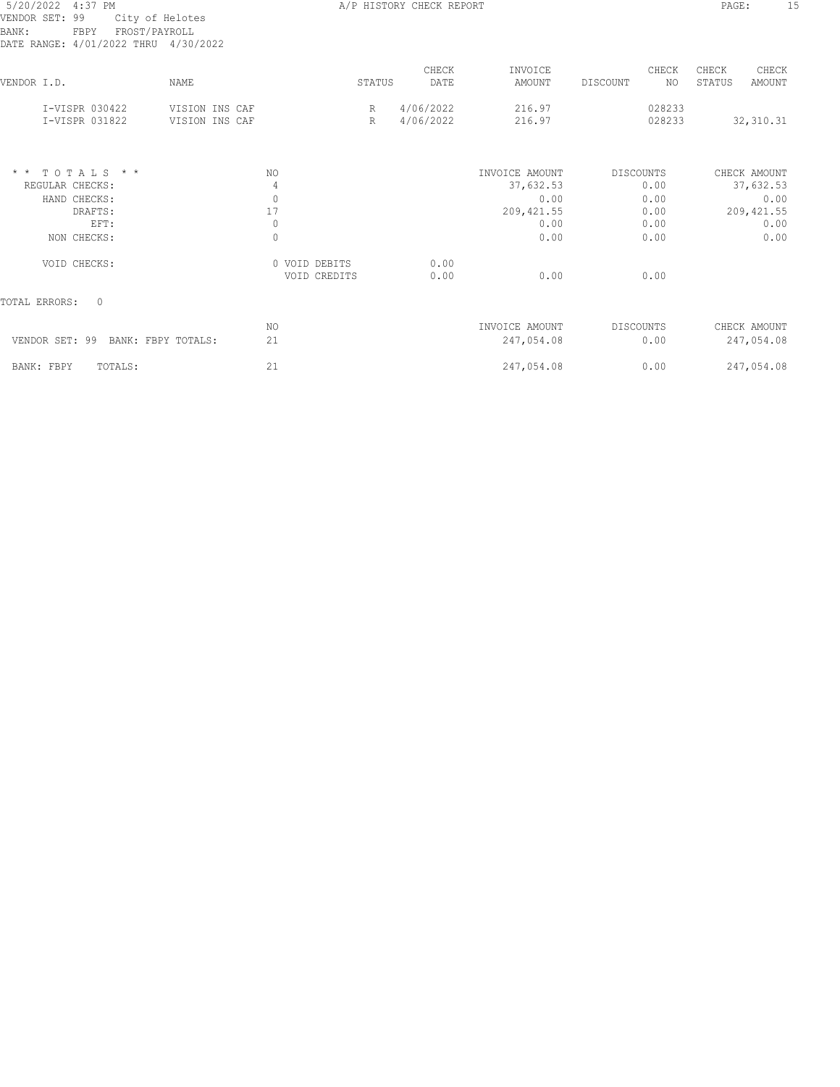| 5/20/2022 4:37 PM |                                      | A/P HISTORY CHECK REPORT | PAGE: |  |
|-------------------|--------------------------------------|--------------------------|-------|--|
|                   | VENDOR SET: 99 City of Helotes       |                          |       |  |
| BANK:             | FBPY FROST/PAYROLL                   |                          |       |  |
|                   | DATE RANGE: 4/01/2022 THRU 4/30/2022 |                          |       |  |

| DATE KANGE: 4/01/2022 THKU 4/30/2022                                          |                                  |                                  |                  |                        |                                     |           |                      |                 |                                   |
|-------------------------------------------------------------------------------|----------------------------------|----------------------------------|------------------|------------------------|-------------------------------------|-----------|----------------------|-----------------|-----------------------------------|
| VENDOR I.D.                                                                   | <b>NAME</b>                      |                                  | STATUS           | CHECK<br>DATE          | INVOICE<br>AMOUNT                   | DISCOUNT  | CHECK<br>NO.         | CHECK<br>STATUS | CHECK<br>AMOUNT                   |
| I-VISPR 030422<br>I-VISPR 031822                                              | VISION INS CAF<br>VISION INS CAF |                                  | $\mathbb R$<br>R | 4/06/2022<br>4/06/2022 | 216.97<br>216.97                    |           | 028233<br>028233     |                 | 32, 310.31                        |
| $T$ O $T$ A L S $*$ $*$<br>$\star$ $\star$<br>REGULAR CHECKS:<br>HAND CHECKS: |                                  | NO.<br>4<br>$\mathbf{0}$         |                  |                        | INVOICE AMOUNT<br>37,632.53<br>0.00 | DISCOUNTS | 0.00<br>0.00         |                 | CHECK AMOUNT<br>37,632.53<br>0.00 |
| DRAFTS:<br>EFT:<br>NON CHECKS:                                                |                                  | 17<br>$\mathbb O$<br>$\mathbb O$ |                  |                        | 209, 421.55<br>0.00<br>0.00         |           | 0.00<br>0.00<br>0.00 |                 | 209, 421.55<br>0.00<br>0.00       |
| VOID CHECKS:                                                                  |                                  | 0 VOID DEBITS                    | VOID CREDITS     | 0.00<br>0.00           | 0.00                                |           | 0.00                 |                 |                                   |
| $\circ$<br>TOTAL ERRORS:                                                      |                                  |                                  |                  |                        |                                     |           |                      |                 |                                   |
| VENDOR SET: 99<br>BANK: FBPY TOTALS:                                          |                                  | NO.<br>21                        |                  |                        | INVOICE AMOUNT<br>247,054.08        | DISCOUNTS | 0.00                 |                 | CHECK AMOUNT<br>247,054.08        |
| TOTALS:<br>BANK: FBPY                                                         |                                  | 21                               |                  |                        | 247,054.08                          |           | 0.00                 |                 | 247,054.08                        |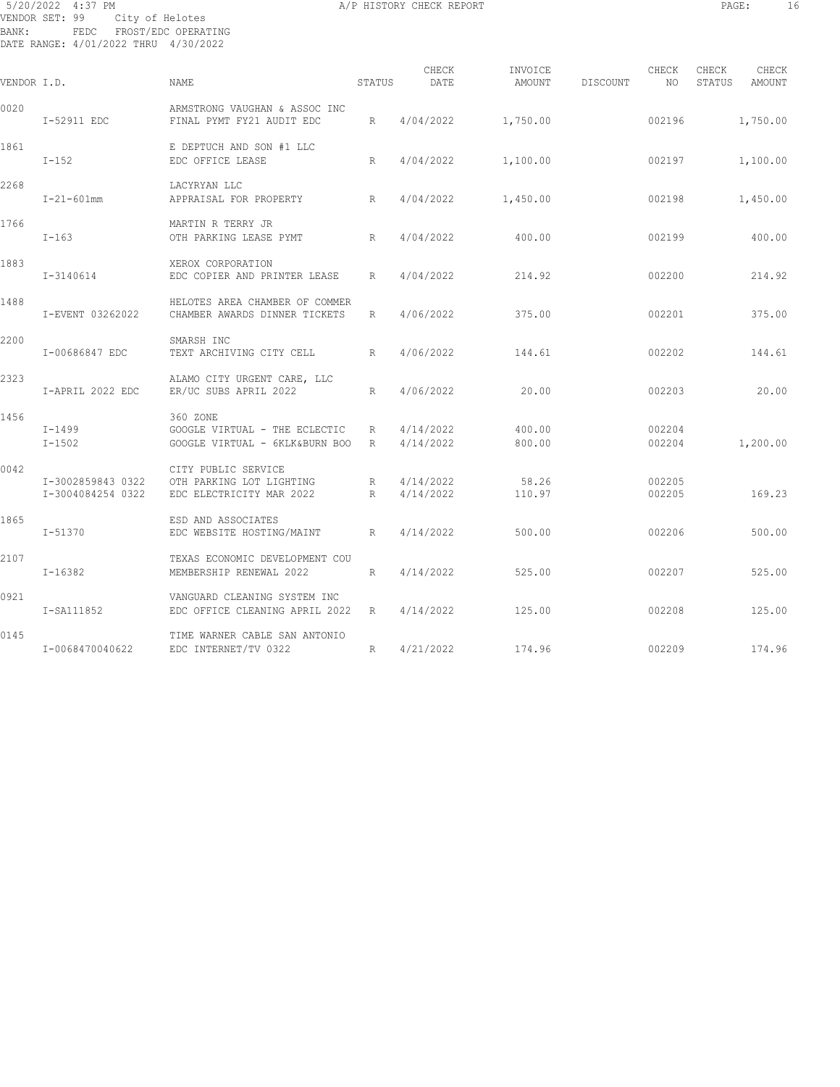# 5/20/2022 4:37 PM **A/P HISTORY CHECK REPORT PAGE:** 16 VENDOR SET: 99 City of Helotes BANK: FEDC FROST/EDC OPERATING DATE RANGE: 4/01/2022 THRU 4/30/2022

| VENDOR I.D. |                                        | <b>NAME</b>                                                                 | STATUS | CHECK<br>DATE          | INVOICE<br>AMOUNT | DISCOUNT | CHECK<br>NO      | CHECK<br>STATUS | CHECK<br>AMOUNT |
|-------------|----------------------------------------|-----------------------------------------------------------------------------|--------|------------------------|-------------------|----------|------------------|-----------------|-----------------|
| 0020        | I-52911 EDC                            | ARMSTRONG VAUGHAN & ASSOC INC<br>FINAL PYMT FY21 AUDIT EDC                  | R      | 4/04/2022              | 1,750.00          |          | 002196           |                 | 1,750.00        |
| 1861        | $I-152$                                | E DEPTUCH AND SON #1 LLC<br>EDC OFFICE LEASE                                | R      | 4/04/2022              | 1,100.00          |          | 002197           |                 | 1,100.00        |
| 2268        | $I - 21 - 601$ mm                      | LACYRYAN LLC<br>R<br>APPRAISAL FOR PROPERTY                                 |        | 4/04/2022              | 1,450.00          |          | 002198           |                 | 1,450.00        |
| 1766        | $I-163$                                | MARTIN R TERRY JR<br>OTH PARKING LEASE PYMT                                 | R      | 4/04/2022              | 400.00            |          | 002199           |                 | 400.00          |
| 1883        | I-3140614                              | XEROX CORPORATION<br>EDC COPIER AND PRINTER LEASE                           | R      | 4/04/2022              | 214.92            |          | 002200           |                 | 214.92          |
| 1488        | I-EVENT 03262022                       | HELOTES AREA CHAMBER OF COMMER<br>CHAMBER AWARDS DINNER TICKETS             | R      | 4/06/2022              | 375.00            |          | 002201           |                 | 375.00          |
| 2200        | I-00686847 EDC                         | SMARSH INC<br>TEXT ARCHIVING CITY CELL                                      | R      | 4/06/2022              | 144.61            |          | 002202           |                 | 144.61          |
| 2323        | I-APRIL 2022 EDC                       | ALAMO CITY URGENT CARE, LLC<br>ER/UC SUBS APRIL 2022                        | R      | 4/06/2022              | 20.00             |          | 002203           |                 | 20.00           |
| 1456        | I-1499<br>$I-1502$                     | 360 ZONE<br>GOOGLE VIRTUAL - THE ECLECTIC<br>GOOGLE VIRTUAL - 6KLK&BURN BOO | R<br>R | 4/14/2022<br>4/14/2022 | 400.00<br>800.00  |          | 002204<br>002204 |                 | 1,200.00        |
| 0042        | I-3002859843 0322<br>I-3004084254 0322 | CITY PUBLIC SERVICE<br>OTH PARKING LOT LIGHTING<br>EDC ELECTRICITY MAR 2022 | R<br>R | 4/14/2022<br>4/14/2022 | 58.26<br>110.97   |          | 002205<br>002205 |                 | 169.23          |
| 1865        | $I - 51370$                            | ESD AND ASSOCIATES<br>EDC WEBSITE HOSTING/MAINT                             | R      | 4/14/2022              | 500.00            |          | 002206           |                 | 500.00          |
| 2107        | $I-16382$                              | TEXAS ECONOMIC DEVELOPMENT COU<br>MEMBERSHIP RENEWAL 2022                   | R      | 4/14/2022              | 525.00            |          | 002207           |                 | 525.00          |
| 0921        | I-SA111852                             | VANGUARD CLEANING SYSTEM INC<br>EDC OFFICE CLEANING APRIL 2022              | R      | 4/14/2022              | 125.00            |          | 002208           |                 | 125.00          |
| 0145        | I-0068470040622                        | TIME WARNER CABLE SAN ANTONIO<br>EDC INTERNET/TV 0322                       | R      | 4/21/2022              | 174.96            |          | 002209           |                 | 174.96          |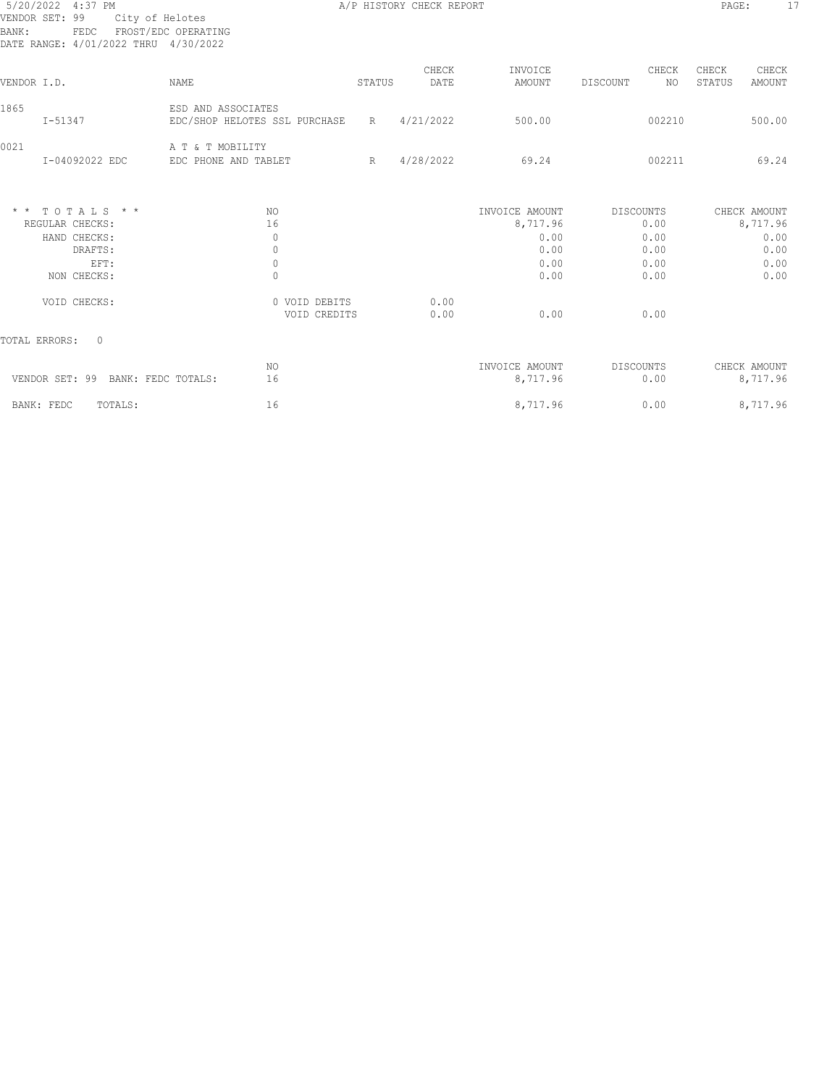|                | 5/20/2022 4:37 PM                            |                               |        | A/P HISTORY CHECK REPORT |                |                  | PAGE:  | 17            |
|----------------|----------------------------------------------|-------------------------------|--------|--------------------------|----------------|------------------|--------|---------------|
| VENDOR SET: 99 | City of Helotes                              | FROST/EDC OPERATING           |        |                          |                |                  |        |               |
| BANK:          | FEDC<br>DATE RANGE: 4/01/2022 THRU 4/30/2022 |                               |        |                          |                |                  |        |               |
|                |                                              |                               |        |                          |                |                  |        |               |
|                |                                              |                               |        | CHECK                    | INVOICE        | CHECK            | CHECK  | CHECK         |
| VENDOR I.D.    |                                              | NAME                          | STATUS | DATE                     | AMOUNT         | NO.<br>DISCOUNT  | STATUS | <b>AMOUNT</b> |
| 1865           |                                              | ESD AND ASSOCIATES            |        |                          |                |                  |        |               |
|                | $I - 51347$                                  | EDC/SHOP HELOTES SSL PURCHASE | R      | 4/21/2022                | 500.00         | 002210           |        | 500.00        |
| 0021           |                                              | A T & T MOBILITY              |        |                          |                |                  |        |               |
|                | I-04092022 EDC                               | EDC PHONE AND TABLET          | R      | 4/28/2022                | 69.24          | 002211           |        | 69.24         |
|                |                                              |                               |        |                          |                |                  |        |               |
|                | $*$ * TOTALS * *                             | NO.                           |        |                          | INVOICE AMOUNT | DISCOUNTS        |        | CHECK AMOUNT  |
|                | REGULAR CHECKS:                              | 16                            |        |                          | 8,717.96       | 0.00             |        | 8,717.96      |
|                | HAND CHECKS:                                 | $\mathbf{0}$                  |        |                          | 0.00           | 0.00             |        | 0.00          |
|                | DRAFTS:                                      | $\mathbf{0}$                  |        |                          | 0.00           | 0.00             |        | 0.00          |
|                | EFT:                                         | $\mathbf{0}$                  |        |                          | 0.00           | 0.00             |        | 0.00          |
|                | NON CHECKS:                                  | $\mathbf{0}$                  |        |                          | 0.00           | 0.00             |        | 0.00          |
|                | VOID CHECKS:                                 | 0 VOID DEBITS                 |        | 0.00                     |                |                  |        |               |
|                |                                              | VOID CREDITS                  |        | 0.00                     | 0.00           | 0.00             |        |               |
| TOTAL ERRORS:  | $\Omega$                                     |                               |        |                          |                |                  |        |               |
|                |                                              | NO.                           |        |                          | INVOICE AMOUNT | <b>DISCOUNTS</b> |        | CHECK AMOUNT  |
|                | VENDOR SET: 99 BANK: FEDC TOTALS:            | 16                            |        |                          | 8,717.96       | 0.00             |        | 8,717.96      |
| BANK: FEDC     | TOTALS:                                      | 16                            |        |                          | 8,717.96       | 0.00             |        | 8,717.96      |
|                |                                              |                               |        |                          |                |                  |        |               |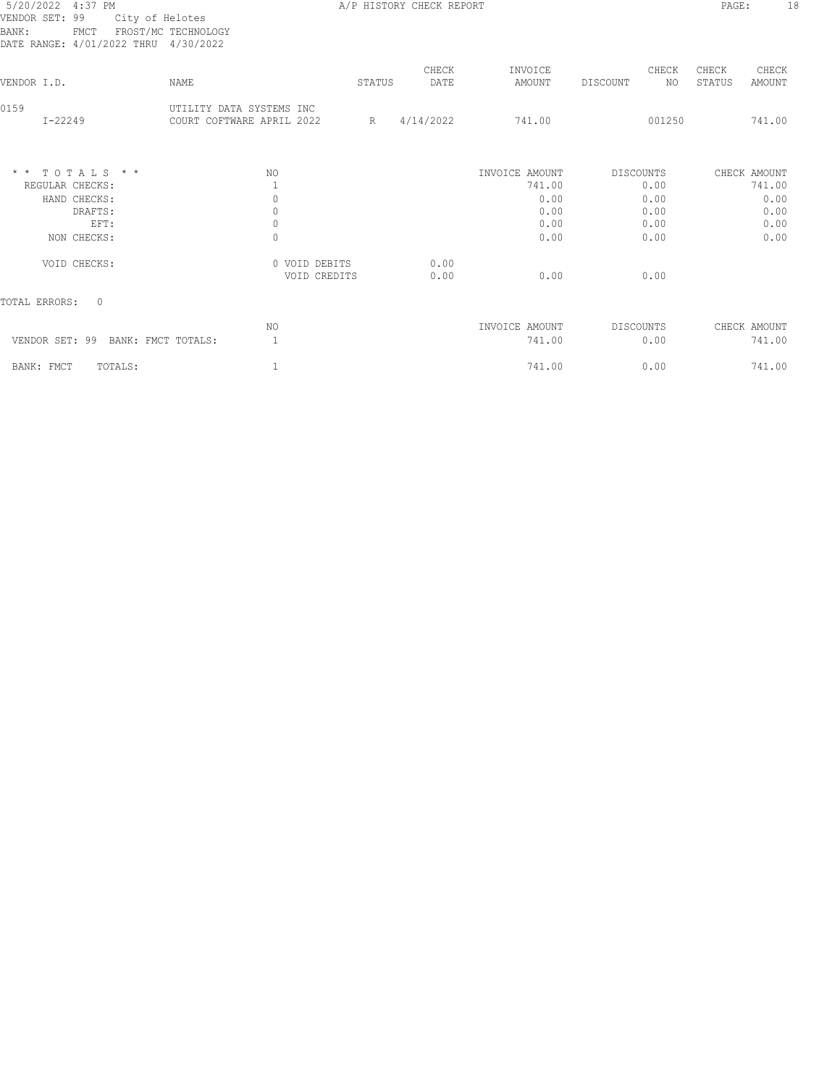# 5/20/2022 4:37 PM **A/P HISTORY CHECK REPORT PAGE:** 18 VENDOR SET: 99 City of Helotes BANK: FMCT FROST/MC TECHNOLOGY DATE RANGE: 4/01/2022 THRU 4/30/2022

| DAIB KANGB. 7/01/2022 IHKU 7/JV/2022 |                                                       |        |               |                   |                         |                                    |
|--------------------------------------|-------------------------------------------------------|--------|---------------|-------------------|-------------------------|------------------------------------|
| VENDOR I.D.                          | NAME                                                  | STATUS | CHECK<br>DATE | INVOICE<br>AMOUNT | CHECK<br>NO<br>DISCOUNT | CHECK<br>CHECK<br>STATUS<br>AMOUNT |
| 0159<br>$I - 22249$                  | UTILITY DATA SYSTEMS INC<br>COURT COFTWARE APRIL 2022 | R      | 4/14/2022     | 741.00            | 001250                  | 741.00                             |
| $*$ * TOTALS * *                     | NO.                                                   |        |               | INVOICE AMOUNT    | DISCOUNTS               | CHECK AMOUNT                       |
| REGULAR CHECKS:<br>HAND CHECKS:      | 0                                                     |        |               | 741.00<br>0.00    | 0.00<br>0.00            | 741.00<br>0.00                     |
| DRAFTS:                              | 0                                                     |        |               | 0.00              | 0.00                    | 0.00                               |
| EFT:                                 | 0                                                     |        |               | 0.00              | 0.00                    | 0.00                               |
| NON CHECKS:                          | 0                                                     |        |               | 0.00              | 0.00                    | 0.00                               |
| VOID CHECKS:                         | 0 VOID DEBITS<br>VOID CREDITS                         |        | 0.00<br>0.00  | 0.00              | 0.00                    |                                    |
| TOTAL ERRORS:<br>$\Omega$            |                                                       |        |               |                   |                         |                                    |
|                                      | NO.                                                   |        |               | INVOICE AMOUNT    | DISCOUNTS               | CHECK AMOUNT                       |
| VENDOR SET: 99 BANK: FMCT TOTALS:    |                                                       |        |               | 741.00            | 0.00                    | 741.00                             |
| BANK: FMCT<br>TOTALS:                |                                                       |        |               | 741.00            | 0.00                    | 741.00                             |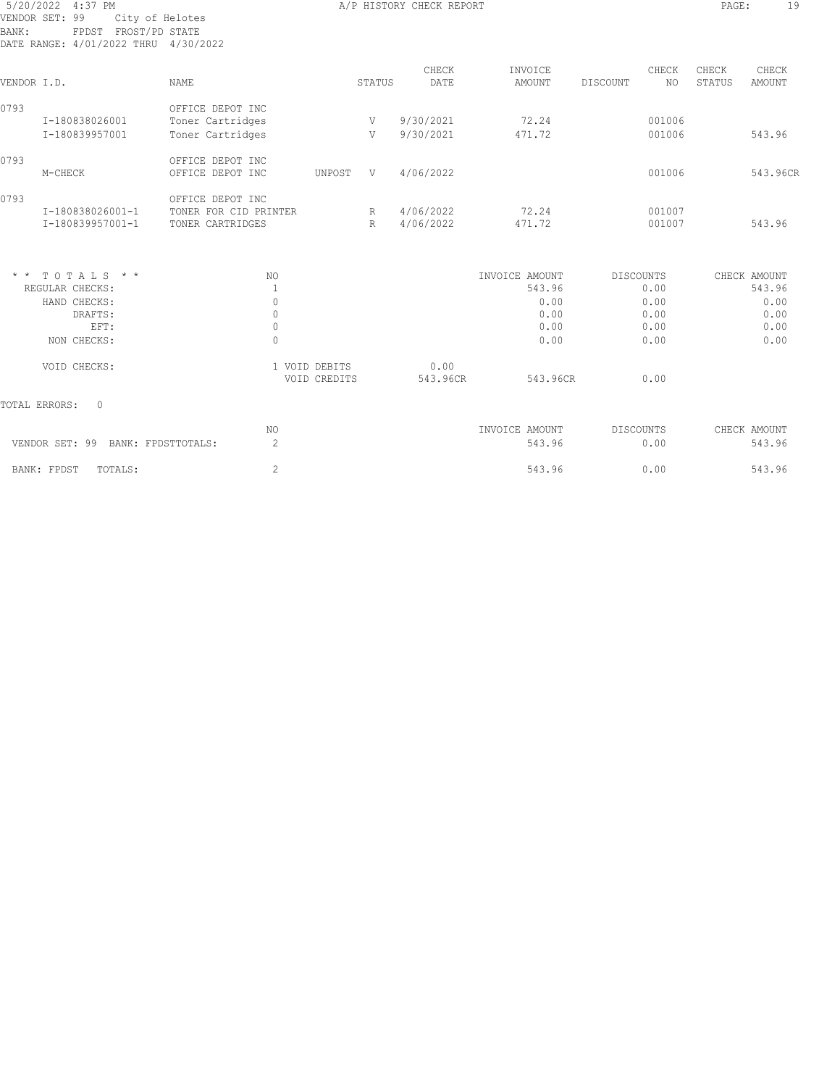| 5/20/2022 4:37 PM<br>VENDOR SET: 99<br>City of Helotes<br>FPDST FROST/PD STATE<br>BANK:<br>DATE RANGE: 4/01/2022 THRU 4/30/2022 |                                                                              |                               |               | A/P HISTORY CHECK REPORT |                                                          |                                                          | PAGE:           | 19                                                     |
|---------------------------------------------------------------------------------------------------------------------------------|------------------------------------------------------------------------------|-------------------------------|---------------|--------------------------|----------------------------------------------------------|----------------------------------------------------------|-----------------|--------------------------------------------------------|
| VENDOR I.D.                                                                                                                     | NAME                                                                         |                               | <b>STATUS</b> | CHECK<br>DATE            | INVOICE<br><b>AMOUNT</b>                                 | CHECK<br><b>DISCOUNT</b><br><b>NO</b>                    | CHECK<br>STATUS | CHECK<br><b>AMOUNT</b>                                 |
| 0793<br>I-180838026001<br>I-180839957001                                                                                        | OFFICE DEPOT INC<br>Toner Cartridges<br>Toner Cartridges                     |                               | V<br>V        | 9/30/2021<br>9/30/2021   | 72.24<br>471.72                                          | 001006<br>001006                                         |                 | 543.96                                                 |
| 0793<br>M-CHECK                                                                                                                 | OFFICE DEPOT INC<br>OFFICE DEPOT INC                                         | UNPOST                        | V             | 4/06/2022                |                                                          | 001006                                                   |                 | 543.96CR                                               |
| 0793<br>I-180838026001-1<br>I-180839957001-1                                                                                    | OFFICE DEPOT INC<br>TONER FOR CID PRINTER<br>TONER CARTRIDGES                |                               | R             | R 4/06/2022<br>4/06/2022 | 72.24<br>471.72                                          | 001007<br>001007                                         |                 | 543.96                                                 |
| $*$ * TOTALS * *<br>REGULAR CHECKS:<br>HAND CHECKS:<br>DRAFTS:<br>EFT:<br>NON CHECKS:                                           | NO.<br>$\overline{1}$<br>$\mathbf{0}$<br>$\mathbf{0}$<br>$\circ$<br>$\Omega$ |                               |               |                          | INVOICE AMOUNT<br>543.96<br>0.00<br>0.00<br>0.00<br>0.00 | <b>DISCOUNTS</b><br>0.00<br>0.00<br>0.00<br>0.00<br>0.00 |                 | CHECK AMOUNT<br>543.96<br>0.00<br>0.00<br>0.00<br>0.00 |
| VOID CHECKS:                                                                                                                    |                                                                              | 1 VOID DEBITS<br>VOID CREDITS |               | 0.00<br>543.96CR         | 543.96CR                                                 | 0.00                                                     |                 |                                                        |
| TOTAL ERRORS:<br>$\Omega$                                                                                                       |                                                                              |                               |               |                          |                                                          |                                                          |                 |                                                        |
| VENDOR SET: 99 BANK: FPDSTTOTALS:                                                                                               | NO.<br>2                                                                     |                               |               |                          | INVOICE AMOUNT<br>543.96                                 | <b>DISCOUNTS</b><br>0.00                                 |                 | CHECK AMOUNT<br>543.96                                 |
| BANK: FPDST<br>TOTALS:                                                                                                          | 2                                                                            |                               |               |                          | 543.96                                                   | 0.00                                                     |                 | 543.96                                                 |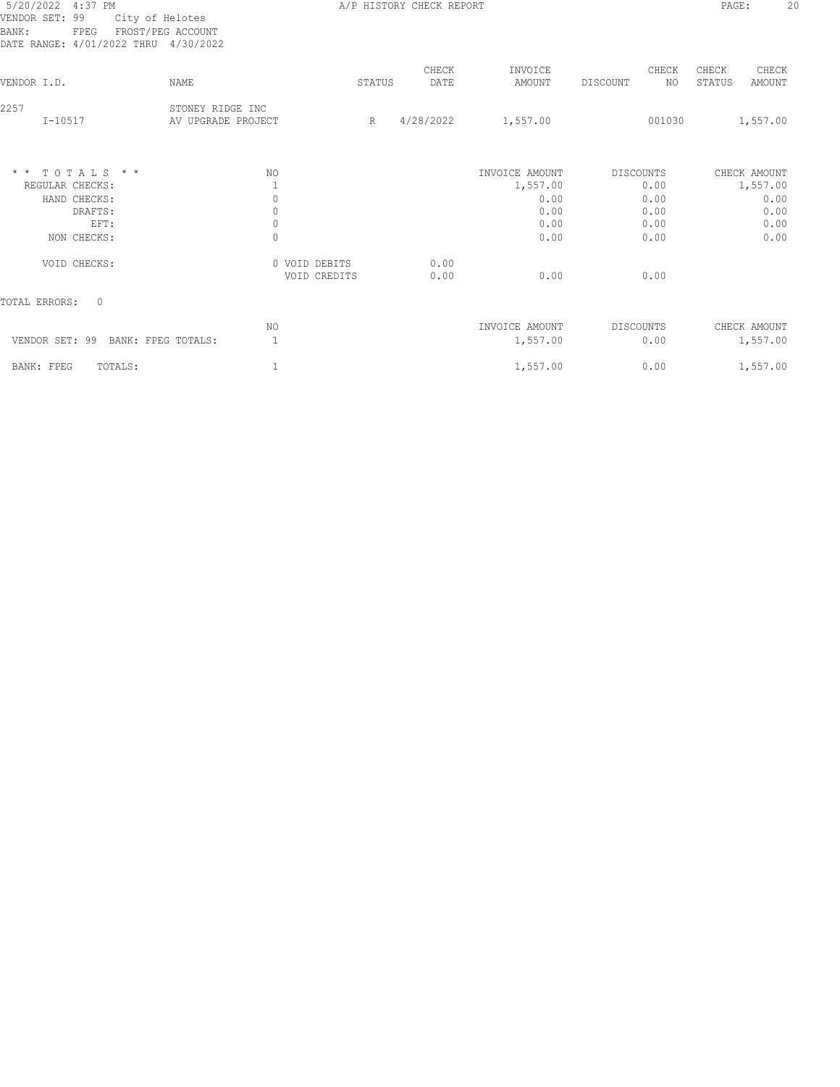# 5/20/2022 4:37 PM **A/P HISTORY CHECK REPORT PAGE:** 20 VENDOR SET: 99 City of Helotes BANK: FPEG FROST/PEG ACCOUNT DATE RANGE: 4/01/2022 THRU 4/30/2022

| DATE RANGE: 4/01/2022 THRU 4/30/2022 |                                        |                               |        |               |                   |           |              |                 |                        |
|--------------------------------------|----------------------------------------|-------------------------------|--------|---------------|-------------------|-----------|--------------|-----------------|------------------------|
| VENDOR I.D.                          | <b>NAME</b>                            |                               | STATUS | CHECK<br>DATE | INVOICE<br>AMOUNT | DISCOUNT  | CHECK<br>NO. | CHECK<br>STATUS | CHECK<br><b>AMOUNT</b> |
| 2257<br>$I - 10517$                  | STONEY RIDGE INC<br>AV UPGRADE PROJECT |                               | R      | 4/28/2022     | 1,557.00          |           | 001030       |                 | 1,557.00               |
| $*$ * TOTALS * *                     | NO.                                    |                               |        |               | INVOICE AMOUNT    | DISCOUNTS |              |                 | CHECK AMOUNT           |
| REGULAR CHECKS:                      |                                        |                               |        |               | 1,557.00          |           | 0.00         |                 | 1,557.00               |
| HAND CHECKS:                         | 0                                      |                               |        |               | 0.00              |           | 0.00         |                 | 0.00                   |
| DRAFTS:                              | $\mathbf{0}$                           |                               |        |               | 0.00              |           | 0.00         |                 | 0.00                   |
| EFT:                                 | $\circ$                                |                               |        |               | 0.00              |           | 0.00         |                 | 0.00                   |
| NON CHECKS:                          | $\mathbf{0}$                           |                               |        |               | 0.00              |           | 0.00         |                 | 0.00                   |
| VOID CHECKS:                         |                                        | 0 VOID DEBITS<br>VOID CREDITS |        | 0.00<br>0.00  | 0.00              |           | 0.00         |                 |                        |
| TOTAL ERRORS:<br>$\Omega$            |                                        |                               |        |               |                   |           |              |                 |                        |
|                                      | NO                                     |                               |        |               | INVOICE AMOUNT    | DISCOUNTS |              |                 | CHECK AMOUNT           |
| VENDOR SET: 99<br>BANK: FPEG TOTALS: |                                        |                               |        |               | 1,557.00          |           | 0.00         |                 | 1,557.00               |
| TOTALS:<br>BANK: FPEG                |                                        |                               |        |               | 1,557.00          |           | 0.00         |                 | 1,557.00               |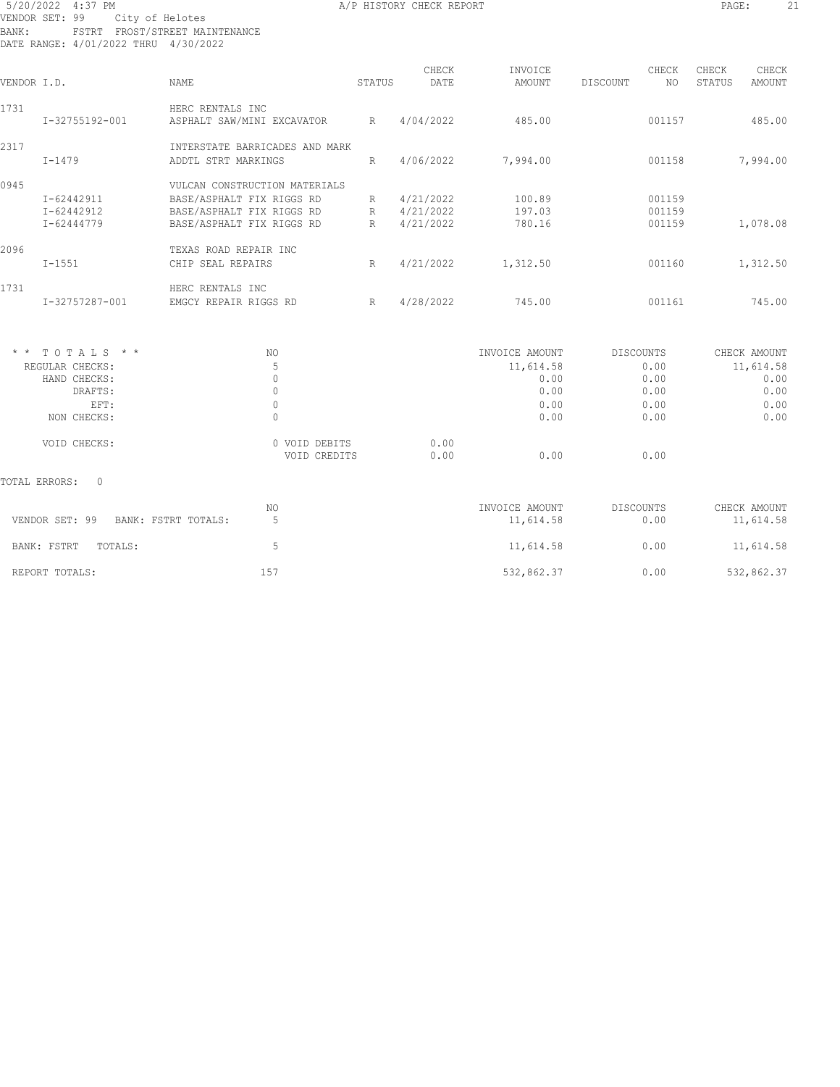# 5/20/2022 4:37 PM **A/P HISTORY CHECK REPORT PAGE:** 21 VENDOR SET: 99 City of Helotes BANK: FSTRT FROST/STREET MAINTENANCE DATE RANGE: 4/01/2022 THRU 4/30/2022

| VENDOR I.D.          |                                                                                 | NAME                                                                                                                 | STATUS                        | CHECK<br>DATE                       | INVOICE<br>AMOUNT                                           | CHECK<br>NO.<br>DISCOUNT                                 | CHECK<br>CHECK<br>STATUS<br>AMOUNT |                              |
|----------------------|---------------------------------------------------------------------------------|----------------------------------------------------------------------------------------------------------------------|-------------------------------|-------------------------------------|-------------------------------------------------------------|----------------------------------------------------------|------------------------------------|------------------------------|
| 1731                 | HERC RENTALS INC<br>I-32755192-001<br>ASPHALT SAW/MINI EXCAVATOR                |                                                                                                                      | R                             | 4/04/2022                           | 485.00                                                      | 001157                                                   | 485.00                             |                              |
| 2317                 | $I - 1479$                                                                      | INTERSTATE BARRICADES AND MARK<br>ADDTL STRT MARKINGS                                                                | R                             | 4/06/2022                           | 7,994.00                                                    | 001158                                                   | 7,994.00                           |                              |
| 0945                 | I-62442911<br>I-62442912<br>I-62444779                                          | VULCAN CONSTRUCTION MATERIALS<br>BASE/ASPHALT FIX RIGGS RD<br>BASE/ASPHALT FIX RIGGS RD<br>BASE/ASPHALT FIX RIGGS RD | R<br>R<br>R                   | 4/21/2022<br>4/21/2022<br>4/21/2022 | 100.89<br>197.03<br>780.16                                  | 001159<br>001159<br>001159                               | 1,078.08                           |                              |
| 2096                 | $I - 1551$                                                                      | TEXAS ROAD REPAIR INC<br>CHIP SEAL REPAIRS                                                                           | $\mathbb{R}$                  | 4/21/2022                           | 1,312.50                                                    | 001160                                                   | 1,312.50                           |                              |
| 1731                 | I-32757287-001                                                                  | HERC RENTALS INC<br>EMGCY REPAIR RIGGS RD                                                                            | R                             | 4/28/2022                           | 745.00                                                      | 001161                                                   | 745.00                             |                              |
| $\star$ $\star$      | TOTALS * *<br>REGULAR CHECKS:<br>HAND CHECKS:<br>DRAFTS:<br>EFT:<br>NON CHECKS: | NO.<br>5<br>$\mathbf{0}$<br>$\mathbf 0$<br>$\mathbf 0$<br>$\Omega$                                                   |                               |                                     | INVOICE AMOUNT<br>11,614.58<br>0.00<br>0.00<br>0.00<br>0.00 | <b>DISCOUNTS</b><br>0.00<br>0.00<br>0.00<br>0.00<br>0.00 | CHECK AMOUNT<br>11,614.58          | 0.00<br>0.00<br>0.00<br>0.00 |
|                      | VOID CHECKS:                                                                    |                                                                                                                      | 0 VOID DEBITS<br>VOID CREDITS | 0.00<br>0.00                        | 0.00                                                        | 0.00                                                     |                                    |                              |
| <b>TOTAL ERRORS:</b> | $\circ$                                                                         |                                                                                                                      |                               |                                     |                                                             |                                                          |                                    |                              |
|                      | VENDOR SET: 99                                                                  | NO.<br>BANK: FSTRT TOTALS:<br>5                                                                                      |                               |                                     | INVOICE AMOUNT<br>11,614.58                                 | <b>DISCOUNTS</b><br>0.00                                 | CHECK AMOUNT<br>11,614.58          |                              |
|                      | BANK: FSTRT<br>TOTALS:                                                          | 5                                                                                                                    |                               |                                     | 11,614.58                                                   | 0.00                                                     | 11,614.58                          |                              |
|                      | REPORT TOTALS:                                                                  | 157                                                                                                                  |                               |                                     | 532,862.37                                                  | 0.00                                                     | 532,862.37                         |                              |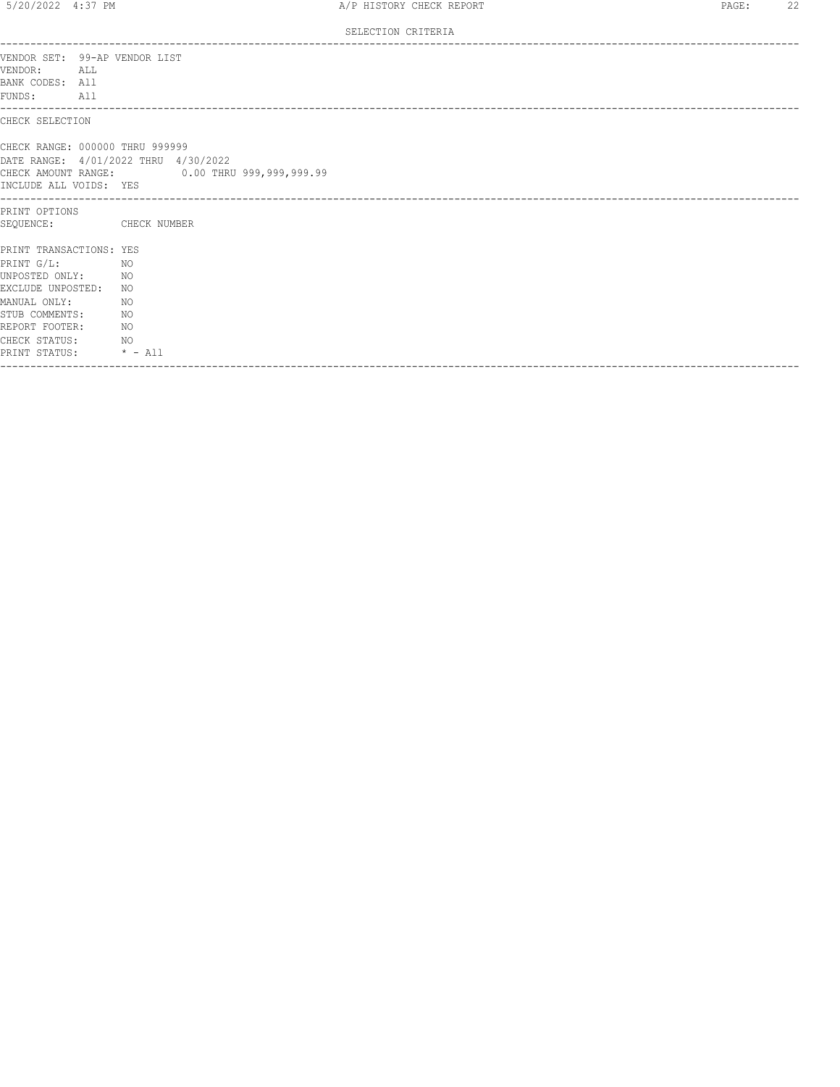SELECTION CRITERIA

| VENDOR SET: 99-AP VENDOR LIST<br>VENDOR:<br>ALL<br>BANK CODES: All<br>FUNDS: All                                                                                                                          |                                                                                      |
|-----------------------------------------------------------------------------------------------------------------------------------------------------------------------------------------------------------|--------------------------------------------------------------------------------------|
| CHECK SELECTION                                                                                                                                                                                           |                                                                                      |
| CHECK RANGE: 000000 THRU 999999<br>INCLUDE ALL VOIDS: YES                                                                                                                                                 | DATE RANGE: 4/01/2022 THRU 4/30/2022<br>CHECK AMOUNT RANGE: 0.00 THRU 999,999,999.99 |
| ----------------------<br>PRINT OPTIONS<br>SEQUENCE:                                                                                                                                                      | CHECK NUMBER                                                                         |
| PRINT TRANSACTIONS: YES<br>PRINT G/L:<br>NO <sub>N</sub><br>UNPOSTED ONLY: NO<br>EXCLUDE UNPOSTED: NO<br>MANUAL ONLY:<br>STUB COMMENTS: NO<br>REPORT FOOTER:<br>CHECK STATUS: NO<br>PRINT STATUS: * - All | NO<br>NO <sub>N</sub>                                                                |
|                                                                                                                                                                                                           |                                                                                      |